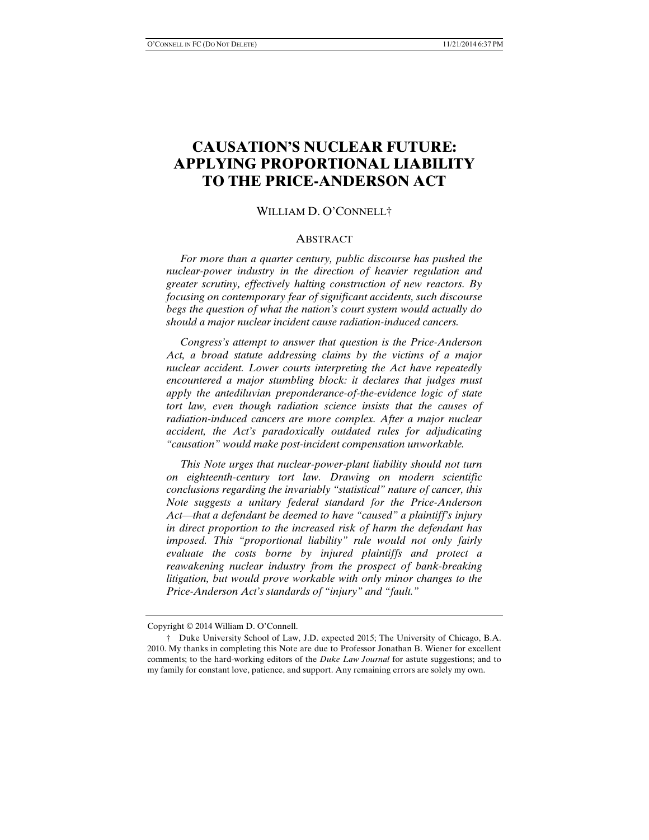# **CAUSATION'S NUCLEAR FUTURE: APPLYING PROPORTIONAL LIABILITY TO THE PRICE-ANDERSON ACT**

#### WILLIAM D. O'CONNELL†

#### **ABSTRACT**

 *For more than a quarter century, public discourse has pushed the nuclear-power industry in the direction of heavier regulation and greater scrutiny, effectively halting construction of new reactors. By focusing on contemporary fear of significant accidents, such discourse begs the question of what the nation's court system would actually do should a major nuclear incident cause radiation-induced cancers.* 

 *Congress's attempt to answer that question is the Price-Anderson Act, a broad statute addressing claims by the victims of a major nuclear accident. Lower courts interpreting the Act have repeatedly encountered a major stumbling block: it declares that judges must apply the antediluvian preponderance-of-the-evidence logic of state tort law, even though radiation science insists that the causes of radiation-induced cancers are more complex. After a major nuclear accident, the Act's paradoxically outdated rules for adjudicating "causation" would make post-incident compensation unworkable.* 

 *This Note urges that nuclear-power-plant liability should not turn on eighteenth-century tort law. Drawing on modern scientific conclusions regarding the invariably "statistical" nature of cancer, this Note suggests a unitary federal standard for the Price-Anderson Act—that a defendant be deemed to have "caused" a plaintiff's injury in direct proportion to the increased risk of harm the defendant has imposed. This "proportional liability" rule would not only fairly evaluate the costs borne by injured plaintiffs and protect a reawakening nuclear industry from the prospect of bank-breaking litigation, but would prove workable with only minor changes to the Price-Anderson Act's standards of "injury" and "fault."* 

Copyright © 2014 William D. O'Connell.

 <sup>†</sup> Duke University School of Law, J.D. expected 2015; The University of Chicago, B.A. 2010. My thanks in completing this Note are due to Professor Jonathan B. Wiener for excellent comments; to the hard-working editors of the *Duke Law Journal* for astute suggestions; and to my family for constant love, patience, and support. Any remaining errors are solely my own.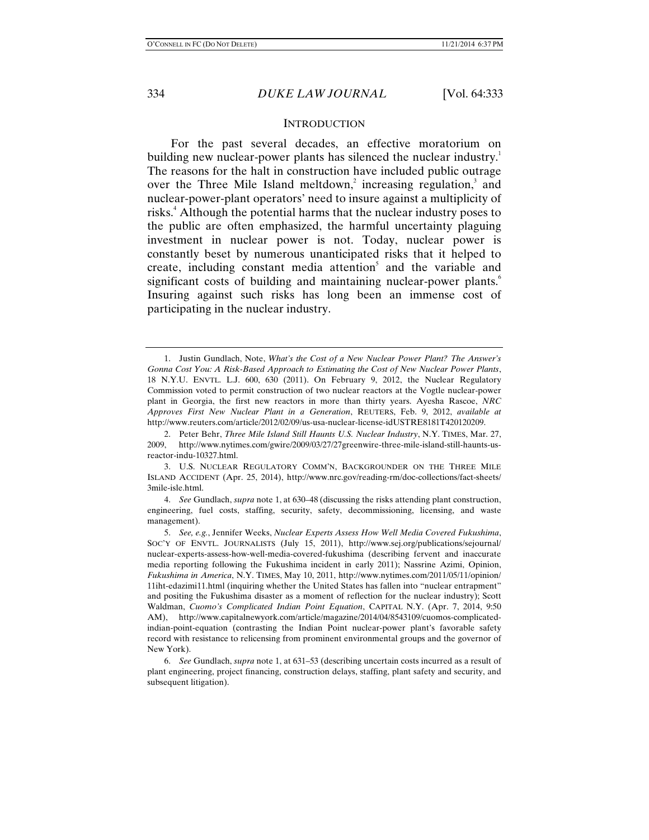#### **INTRODUCTION**

For the past several decades, an effective moratorium on building new nuclear-power plants has silenced the nuclear industry.<sup>1</sup> The reasons for the halt in construction have included public outrage over the Three Mile Island meltdown,<sup>2</sup> increasing regulation,<sup>3</sup> and nuclear-power-plant operators' need to insure against a multiplicity of risks.<sup>4</sup> Although the potential harms that the nuclear industry poses to the public are often emphasized, the harmful uncertainty plaguing investment in nuclear power is not. Today, nuclear power is constantly beset by numerous unanticipated risks that it helped to create, including constant media attention<sup>5</sup> and the variable and significant costs of building and maintaining nuclear-power plants.<sup>6</sup> Insuring against such risks has long been an immense cost of participating in the nuclear industry.

 <sup>1.</sup> Justin Gundlach, Note, *What's the Cost of a New Nuclear Power Plant? The Answer's Gonna Cost You: A Risk-Based Approach to Estimating the Cost of New Nuclear Power Plants*, 18 N.Y.U. ENVTL. L.J. 600, 630 (2011). On February 9, 2012, the Nuclear Regulatory Commission voted to permit construction of two nuclear reactors at the Vogtle nuclear-power plant in Georgia, the first new reactors in more than thirty years. Ayesha Rascoe, *NRC Approves First New Nuclear Plant in a Generation*, REUTERS, Feb. 9, 2012, *available at* http://www.reuters.com/article/2012/02/09/us-usa-nuclear-license-idUSTRE8181T420120209.

 <sup>2.</sup> Peter Behr, *Three Mile Island Still Haunts U.S. Nuclear Industry*, N.Y. TIMES, Mar. 27, 2009, http://www.nytimes.com/gwire/2009/03/27/27greenwire-three-mile-island-still-haunts-usreactor-indu-10327.html.

 <sup>3.</sup> U.S. NUCLEAR REGULATORY COMM'N, BACKGROUNDER ON THE THREE MILE ISLAND ACCIDENT (Apr. 25, 2014), http://www.nrc.gov/reading-rm/doc-collections/fact-sheets/ 3mile-isle.html.

 <sup>4.</sup> *See* Gundlach, *supra* note 1, at 630–48 (discussing the risks attending plant construction, engineering, fuel costs, staffing, security, safety, decommissioning, licensing, and waste management).

 <sup>5.</sup> *See, e.g.*, Jennifer Weeks, *Nuclear Experts Assess How Well Media Covered Fukushima*, SOC'Y OF ENVTL. JOURNALISTS (July 15, 2011), http://www.sej.org/publications/sejournal/ nuclear-experts-assess-how-well-media-covered-fukushima (describing fervent and inaccurate media reporting following the Fukushima incident in early 2011); Nassrine Azimi, Opinion, *Fukushima in America*, N.Y. TIMES, May 10, 2011, http://www.nytimes.com/2011/05/11/opinion/ 11iht-edazimi11.html (inquiring whether the United States has fallen into "nuclear entrapment" and positing the Fukushima disaster as a moment of reflection for the nuclear industry); Scott Waldman, *Cuomo's Complicated Indian Point Equation*, CAPITAL N.Y. (Apr. 7, 2014, 9:50 AM), http://www.capitalnewyork.com/article/magazine/2014/04/8543109/cuomos-complicatedindian-point-equation (contrasting the Indian Point nuclear-power plant's favorable safety record with resistance to relicensing from prominent environmental groups and the governor of New York).

 <sup>6.</sup> *See* Gundlach, *supra* note 1, at 631–53 (describing uncertain costs incurred as a result of plant engineering, project financing, construction delays, staffing, plant safety and security, and subsequent litigation).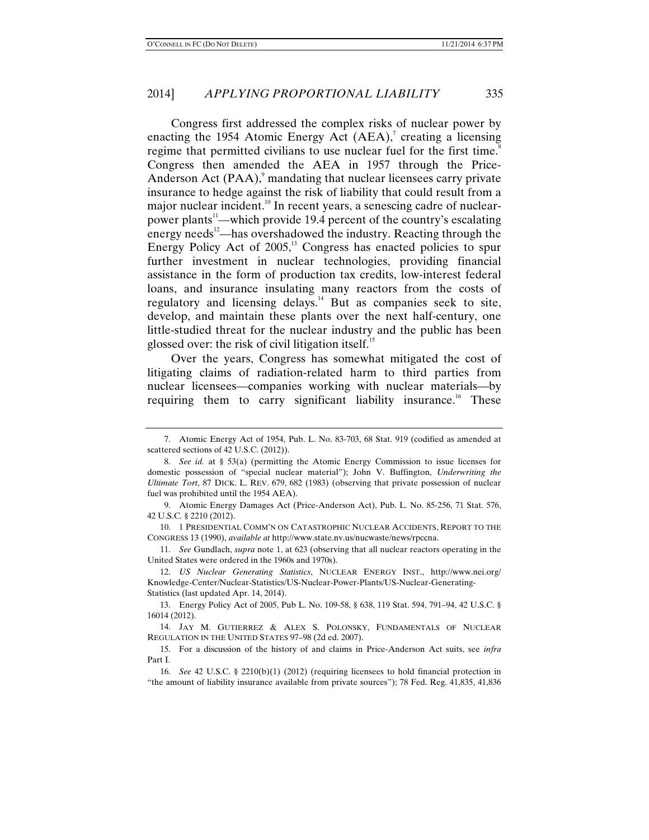Congress first addressed the complex risks of nuclear power by enacting the 1954 Atomic Energy Act  $(AEA)$ , creating a licensing regime that permitted civilians to use nuclear fuel for the first time.<sup>8</sup> Congress then amended the AEA in 1957 through the Price-Anderson Act  $(PAA)$ , mandating that nuclear licensees carry private insurance to hedge against the risk of liability that could result from a major nuclear incident.<sup>10</sup> In recent years, a senescing cadre of nuclearpower plants<sup>11</sup>—which provide 19.4 percent of the country's escalating energy needs $^{12}$ —has overshadowed the industry. Reacting through the Energy Policy Act of  $2005$ ,<sup>13</sup> Congress has enacted policies to spur further investment in nuclear technologies, providing financial assistance in the form of production tax credits, low-interest federal loans, and insurance insulating many reactors from the costs of regulatory and licensing delays.14 But as companies seek to site, develop, and maintain these plants over the next half-century, one little-studied threat for the nuclear industry and the public has been glossed over: the risk of civil litigation itself.<sup>15</sup>

Over the years, Congress has somewhat mitigated the cost of litigating claims of radiation-related harm to third parties from nuclear licensees—companies working with nuclear materials—by requiring them to carry significant liability insurance.<sup>16</sup> These

 10. 1 PRESIDENTIAL COMM'N ON CATASTROPHIC NUCLEAR ACCIDENTS, REPORT TO THE CONGRESS 13 (1990), *available at* http://www.state.nv.us/nucwaste/news/rpccna.

 11. *See* Gundlach, *supra* note 1, at 623 (observing that all nuclear reactors operating in the United States were ordered in the 1960s and 1970s).

 <sup>7.</sup> Atomic Energy Act of 1954, Pub. L. No. 83-703, 68 Stat. 919 (codified as amended at scattered sections of 42 U.S.C. (2012)).

 <sup>8.</sup> *See id.* at § 53(a) (permitting the Atomic Energy Commission to issue licenses for domestic possession of "special nuclear material"); John V. Buffington, *Underwriting the Ultimate Tort*, 87 DICK. L. REV. 679, 682 (1983) (observing that private possession of nuclear fuel was prohibited until the 1954 AEA).

 <sup>9.</sup> Atomic Energy Damages Act (Price-Anderson Act), Pub. L. No. 85-256, 71 Stat. 576, 42 U.S.C. § 2210 (2012).

 <sup>12.</sup> *US Nuclear Generating Statistics*, NUCLEAR ENERGY INST., http://www.nei.org/ Knowledge-Center/Nuclear-Statistics/US-Nuclear-Power-Plants/US-Nuclear-Generating-Statistics (last updated Apr. 14, 2014).

 <sup>13.</sup> Energy Policy Act of 2005, Pub L. No. 109-58, § 638, 119 Stat. 594, 791–94, 42 U.S.C. § 16014 (2012).

 <sup>14.</sup> JAY M. GUTIERREZ & ALEX S. POLONSKY, FUNDAMENTALS OF NUCLEAR REGULATION IN THE UNITED STATES 97–98 (2d ed. 2007).

 <sup>15.</sup> For a discussion of the history of and claims in Price-Anderson Act suits, see *infra* Part I.

 <sup>16.</sup> *See* 42 U.S.C. § 2210(b)(1) (2012) (requiring licensees to hold financial protection in "the amount of liability insurance available from private sources"); 78 Fed. Reg. 41,835, 41,836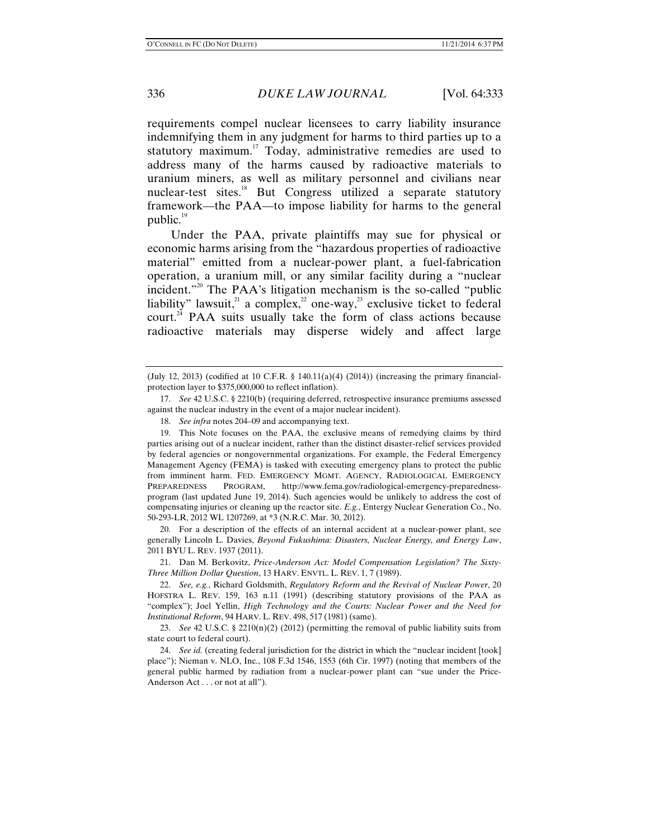requirements compel nuclear licensees to carry liability insurance indemnifying them in any judgment for harms to third parties up to a statutory maximum.<sup>17</sup> Today, administrative remedies are used to address many of the harms caused by radioactive materials to uranium miners, as well as military personnel and civilians near nuclear-test sites.<sup>18</sup> But Congress utilized a separate statutory framework—the PAA—to impose liability for harms to the general public. $19$ 

Under the PAA, private plaintiffs may sue for physical or economic harms arising from the "hazardous properties of radioactive material" emitted from a nuclear-power plant, a fuel-fabrication operation, a uranium mill, or any similar facility during a "nuclear incident."20 The PAA's litigation mechanism is the so-called "public liability" lawsuit, $2^2$  a complex, $2^2$  one-way, $2^3$  exclusive ticket to federal court.<sup>24</sup> PAA suits usually take the form of class actions because radioactive materials may disperse widely and affect large

 20. For a description of the effects of an internal accident at a nuclear-power plant, see generally Lincoln L. Davies, *Beyond Fukushima: Disasters, Nuclear Energy, and Energy Law*, 2011 BYU L. REV. 1937 (2011).

 21. Dan M. Berkovitz, *Price-Anderson Act: Model Compensation Legislation? The Sixty-Three Million Dollar Question*, 13 HARV. ENVTL. L. REV. 1, 7 (1989).

 22. *See, e.g.*, Richard Goldsmith, *Regulatory Reform and the Revival of Nuclear Power*, 20 HOFSTRA L. REV. 159, 163 n.11 (1991) (describing statutory provisions of the PAA as "complex"); Joel Yellin, *High Technology and the Courts: Nuclear Power and the Need for Institutional Reform*, 94 HARV. L. REV. 498, 517 (1981) (same).

 23. *See* 42 U.S.C. § 2210(n)(2) (2012) (permitting the removal of public liability suits from state court to federal court).

 24. *See id.* (creating federal jurisdiction for the district in which the "nuclear incident [took] place"); Nieman v. NLO, Inc., 108 F.3d 1546, 1553 (6th Cir. 1997) (noting that members of the general public harmed by radiation from a nuclear-power plant can "sue under the Price-Anderson Act . . . or not at all").

<sup>(</sup>July 12, 2013) (codified at 10 C.F.R.  $\S$  140.11(a)(4) (2014)) (increasing the primary financialprotection layer to \$375,000,000 to reflect inflation).

 <sup>17.</sup> *See* 42 U.S.C. § 2210(b) (requiring deferred, retrospective insurance premiums assessed against the nuclear industry in the event of a major nuclear incident).

 <sup>18.</sup> *See infra* notes 204–09 and accompanying text.

 <sup>19.</sup> This Note focuses on the PAA, the exclusive means of remedying claims by third parties arising out of a nuclear incident, rather than the distinct disaster-relief services provided by federal agencies or nongovernmental organizations. For example, the Federal Emergency Management Agency (FEMA) is tasked with executing emergency plans to protect the public from imminent harm. FED. EMERGENCY MGMT. AGENCY, RADIOLOGICAL EMERGENCY PREPAREDNESS PROGRAM, http://www.fema.gov/radiological-emergency-preparednessprogram (last updated June 19, 2014). Such agencies would be unlikely to address the cost of compensating injuries or cleaning up the reactor site. *E.g.*, Entergy Nuclear Generation Co., No. 50-293-LR, 2012 WL 1207269, at \*3 (N.R.C. Mar. 30, 2012).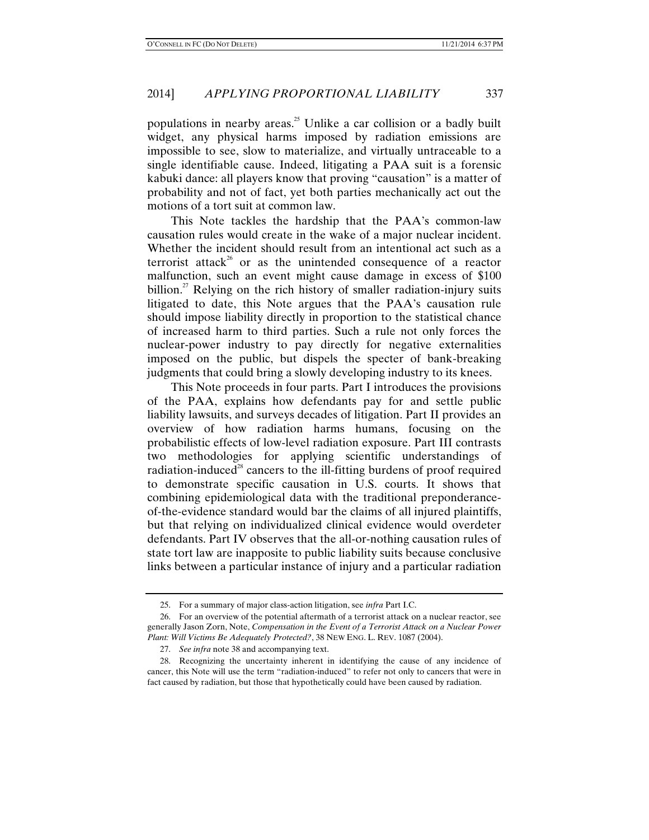populations in nearby areas.<sup>25</sup> Unlike a car collision or a badly built widget, any physical harms imposed by radiation emissions are impossible to see, slow to materialize, and virtually untraceable to a single identifiable cause. Indeed, litigating a PAA suit is a forensic kabuki dance: all players know that proving "causation" is a matter of probability and not of fact, yet both parties mechanically act out the motions of a tort suit at common law.

This Note tackles the hardship that the PAA's common-law causation rules would create in the wake of a major nuclear incident. Whether the incident should result from an intentional act such as a terrorist attack<sup>26</sup> or as the unintended consequence of a reactor malfunction, such an event might cause damage in excess of \$100 billion.<sup>27</sup> Relying on the rich history of smaller radiation-injury suits litigated to date, this Note argues that the PAA's causation rule should impose liability directly in proportion to the statistical chance of increased harm to third parties. Such a rule not only forces the nuclear-power industry to pay directly for negative externalities imposed on the public, but dispels the specter of bank-breaking judgments that could bring a slowly developing industry to its knees.

This Note proceeds in four parts. Part I introduces the provisions of the PAA, explains how defendants pay for and settle public liability lawsuits, and surveys decades of litigation. Part II provides an overview of how radiation harms humans, focusing on the probabilistic effects of low-level radiation exposure. Part III contrasts two methodologies for applying scientific understandings of radiation-induced<sup>28</sup> cancers to the ill-fitting burdens of proof required to demonstrate specific causation in U.S. courts. It shows that combining epidemiological data with the traditional preponderanceof-the-evidence standard would bar the claims of all injured plaintiffs, but that relying on individualized clinical evidence would overdeter defendants. Part IV observes that the all-or-nothing causation rules of state tort law are inapposite to public liability suits because conclusive links between a particular instance of injury and a particular radiation

 <sup>25.</sup> For a summary of major class-action litigation, see *infra* Part I.C.

 <sup>26.</sup> For an overview of the potential aftermath of a terrorist attack on a nuclear reactor, see generally Jason Zorn, Note, *Compensation in the Event of a Terrorist Attack on a Nuclear Power Plant: Will Victims Be Adequately Protected?*, 38 NEW ENG. L. REV. 1087 (2004).

 <sup>27.</sup> *See infra* note 38 and accompanying text.

 <sup>28.</sup> Recognizing the uncertainty inherent in identifying the cause of any incidence of cancer, this Note will use the term "radiation-induced" to refer not only to cancers that were in fact caused by radiation, but those that hypothetically could have been caused by radiation.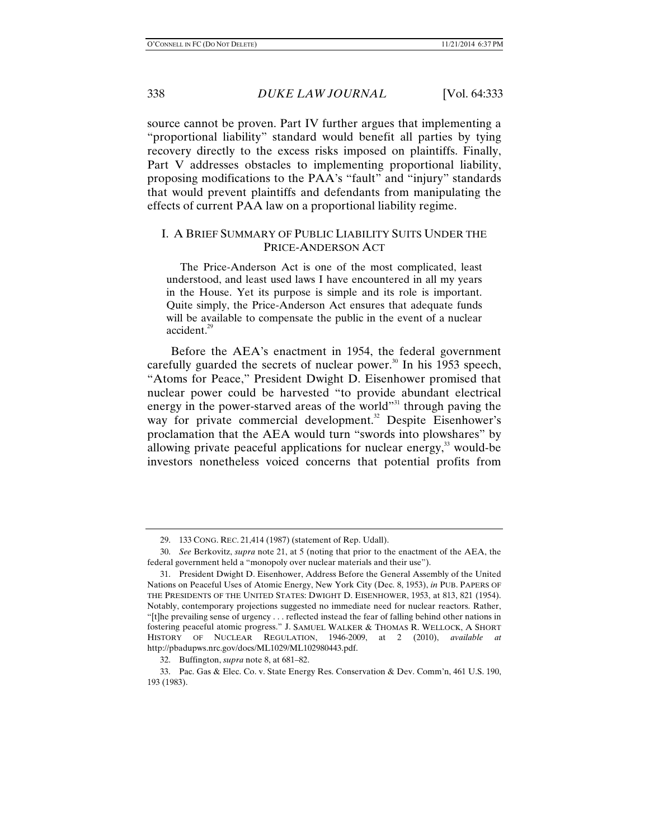source cannot be proven. Part IV further argues that implementing a "proportional liability" standard would benefit all parties by tying recovery directly to the excess risks imposed on plaintiffs. Finally, Part V addresses obstacles to implementing proportional liability, proposing modifications to the PAA's "fault" and "injury" standards that would prevent plaintiffs and defendants from manipulating the effects of current PAA law on a proportional liability regime.

## I. A BRIEF SUMMARY OF PUBLIC LIABILITY SUITS UNDER THE PRICE-ANDERSON ACT

 The Price-Anderson Act is one of the most complicated, least understood, and least used laws I have encountered in all my years in the House. Yet its purpose is simple and its role is important. Quite simply, the Price-Anderson Act ensures that adequate funds will be available to compensate the public in the event of a nuclear accident.<sup>29</sup>

Before the AEA's enactment in 1954, the federal government carefully guarded the secrets of nuclear power.<sup>30</sup> In his 1953 speech, "Atoms for Peace," President Dwight D. Eisenhower promised that nuclear power could be harvested "to provide abundant electrical energy in the power-starved areas of the world"<sup>31</sup> through paving the way for private commercial development.<sup>32</sup> Despite Eisenhower's proclamation that the AEA would turn "swords into plowshares" by allowing private peaceful applications for nuclear energy, $33$  would-be investors nonetheless voiced concerns that potential profits from

 <sup>29. 133</sup> CONG. REC. 21,414 (1987) (statement of Rep. Udall).

 <sup>30.</sup> *See* Berkovitz, *supra* note 21, at 5 (noting that prior to the enactment of the AEA, the federal government held a "monopoly over nuclear materials and their use").

 <sup>31.</sup> President Dwight D. Eisenhower, Address Before the General Assembly of the United Nations on Peaceful Uses of Atomic Energy, New York City (Dec. 8, 1953), *in* PUB. PAPERS OF THE PRESIDENTS OF THE UNITED STATES: DWIGHT D. EISENHOWER, 1953, at 813, 821 (1954). Notably, contemporary projections suggested no immediate need for nuclear reactors. Rather, "[t]he prevailing sense of urgency . . . reflected instead the fear of falling behind other nations in fostering peaceful atomic progress." J. SAMUEL WALKER & THOMAS R. WELLOCK, A SHORT HISTORY OF NUCLEAR REGULATION, 1946-2009, at 2 (2010), *available at* http://pbadupws.nrc.gov/docs/ML1029/ML102980443.pdf.

 <sup>32.</sup> Buffington, *supra* note 8, at 681–82.

 <sup>33.</sup> Pac. Gas & Elec. Co. v. State Energy Res. Conservation & Dev. Comm'n, 461 U.S. 190, 193 (1983).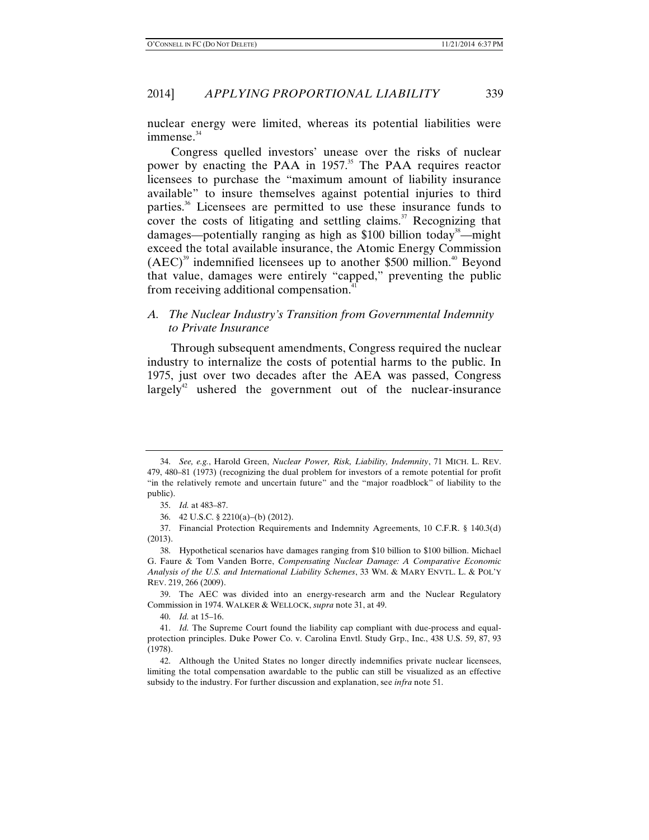nuclear energy were limited, whereas its potential liabilities were  $immense.<sup>34</sup>$ 

Congress quelled investors' unease over the risks of nuclear power by enacting the PAA in 1957.<sup>35</sup> The PAA requires reactor licensees to purchase the "maximum amount of liability insurance available" to insure themselves against potential injuries to third parties.36 Licensees are permitted to use these insurance funds to cover the costs of litigating and settling claims.<sup>37</sup> Recognizing that damages—potentially ranging as high as \$100 billion today<sup>38</sup>—might exceed the total available insurance, the Atomic Energy Commission  $(AEC)^{39}$  indemnified licensees up to another \$500 million.<sup>40</sup> Beyond that value, damages were entirely "capped," preventing the public from receiving additional compensation.<sup>41</sup>

## *A. The Nuclear Industry's Transition from Governmental Indemnity to Private Insurance*

Through subsequent amendments, Congress required the nuclear industry to internalize the costs of potential harms to the public. In 1975, just over two decades after the AEA was passed, Congress largely<sup>42</sup> ushered the government out of the nuclear-insurance

 <sup>34.</sup> *See, e.g.*, Harold Green, *Nuclear Power, Risk, Liability, Indemnity*, 71 MICH. L. REV. 479, 480–81 (1973) (recognizing the dual problem for investors of a remote potential for profit "in the relatively remote and uncertain future" and the "major roadblock" of liability to the public).

 <sup>35.</sup> *Id.* at 483–87.

 <sup>36. 42</sup> U.S.C. § 2210(a)–(b) (2012).

 <sup>37.</sup> Financial Protection Requirements and Indemnity Agreements, 10 C.F.R. § 140.3(d) (2013).

 <sup>38.</sup> Hypothetical scenarios have damages ranging from \$10 billion to \$100 billion. Michael G. Faure & Tom Vanden Borre, *Compensating Nuclear Damage: A Comparative Economic Analysis of the U.S. and International Liability Schemes*, 33 WM. & MARY ENVTL. L. & POL'Y REV. 219, 266 (2009).

 <sup>39.</sup> The AEC was divided into an energy-research arm and the Nuclear Regulatory Commission in 1974. WALKER & WELLOCK, *supra* note 31, at 49.

 <sup>40.</sup> *Id.* at 15–16.

 <sup>41.</sup> *Id.* The Supreme Court found the liability cap compliant with due-process and equalprotection principles. Duke Power Co. v. Carolina Envtl. Study Grp., Inc., 438 U.S. 59, 87, 93 (1978).

 <sup>42.</sup> Although the United States no longer directly indemnifies private nuclear licensees, limiting the total compensation awardable to the public can still be visualized as an effective subsidy to the industry. For further discussion and explanation, see *infra* note 51.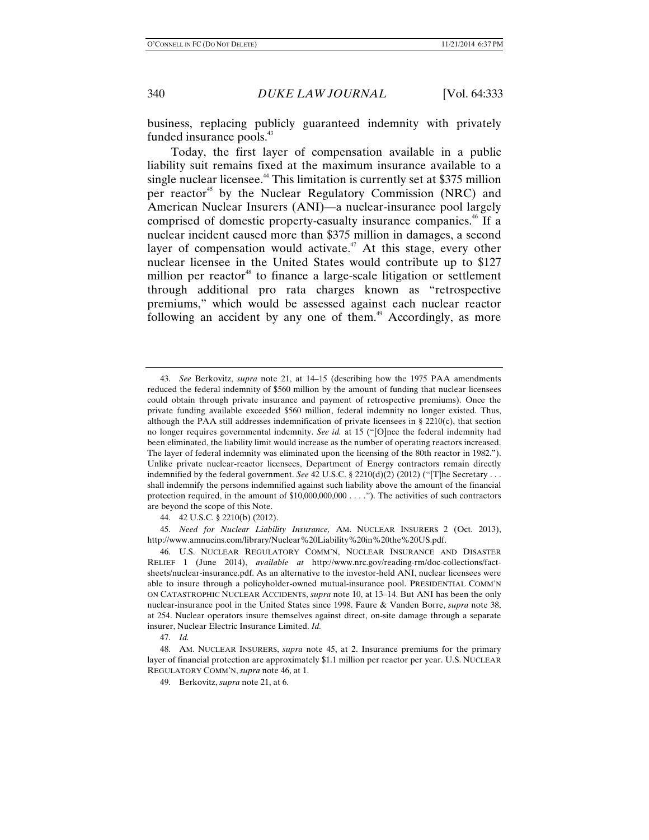business, replacing publicly guaranteed indemnity with privately funded insurance pools.<sup>43</sup>

Today, the first layer of compensation available in a public liability suit remains fixed at the maximum insurance available to a single nuclear licensee.<sup>44</sup> This limitation is currently set at \$375 million per reactor<sup>45</sup> by the Nuclear Regulatory Commission (NRC) and American Nuclear Insurers (ANI)—a nuclear-insurance pool largely comprised of domestic property-casualty insurance companies.<sup>46</sup> If a nuclear incident caused more than \$375 million in damages, a second layer of compensation would activate.<sup> $47$ </sup> At this stage, every other nuclear licensee in the United States would contribute up to \$127 million per reactor<sup>48</sup> to finance a large-scale litigation or settlement through additional pro rata charges known as "retrospective premiums," which would be assessed against each nuclear reactor following an accident by any one of them.<sup>49</sup> Accordingly, as more

 45. *Need for Nuclear Liability Insurance,* AM. NUCLEAR INSURERS 2 (Oct. 2013), http://www.amnucins.com/library/Nuclear%20Liability%20in%20the%20US.pdf.

 46. U.S. NUCLEAR REGULATORY COMM'N, NUCLEAR INSURANCE AND DISASTER RELIEF 1 (June 2014), *available at* http://www.nrc.gov/reading-rm/doc-collections/factsheets/nuclear-insurance.pdf. As an alternative to the investor-held ANI, nuclear licensees were able to insure through a policyholder-owned mutual-insurance pool. PRESIDENTIAL COMM'N ON CATASTROPHIC NUCLEAR ACCIDENTS, *supra* note 10, at 13–14. But ANI has been the only nuclear-insurance pool in the United States since 1998. Faure & Vanden Borre, *supra* note 38, at 254. Nuclear operators insure themselves against direct, on-site damage through a separate insurer, Nuclear Electric Insurance Limited. *Id.*

47. *Id.*

 <sup>43.</sup> *See* Berkovitz, *supra* note 21, at 14–15 (describing how the 1975 PAA amendments reduced the federal indemnity of \$560 million by the amount of funding that nuclear licensees could obtain through private insurance and payment of retrospective premiums). Once the private funding available exceeded \$560 million, federal indemnity no longer existed. Thus, although the PAA still addresses indemnification of private licensees in § 2210(c), that section no longer requires governmental indemnity. *See id.* at 15 ("[O]nce the federal indemnity had been eliminated, the liability limit would increase as the number of operating reactors increased. The layer of federal indemnity was eliminated upon the licensing of the 80th reactor in 1982."). Unlike private nuclear-reactor licensees, Department of Energy contractors remain directly indemnified by the federal government. *See* 42 U.S.C. § 2210(d)(2) (2012) ("[T]he Secretary . . . shall indemnify the persons indemnified against such liability above the amount of the financial protection required, in the amount of \$10,000,000,000 . . . ."). The activities of such contractors are beyond the scope of this Note.

 <sup>44. 42</sup> U.S.C. § 2210(b) (2012).

 <sup>48.</sup> AM. NUCLEAR INSURERS, *supra* note 45, at 2. Insurance premiums for the primary layer of financial protection are approximately \$1.1 million per reactor per year. U.S. NUCLEAR REGULATORY COMM'N, *supra* note 46, at 1.

 <sup>49.</sup> Berkovitz, *supra* note 21, at 6.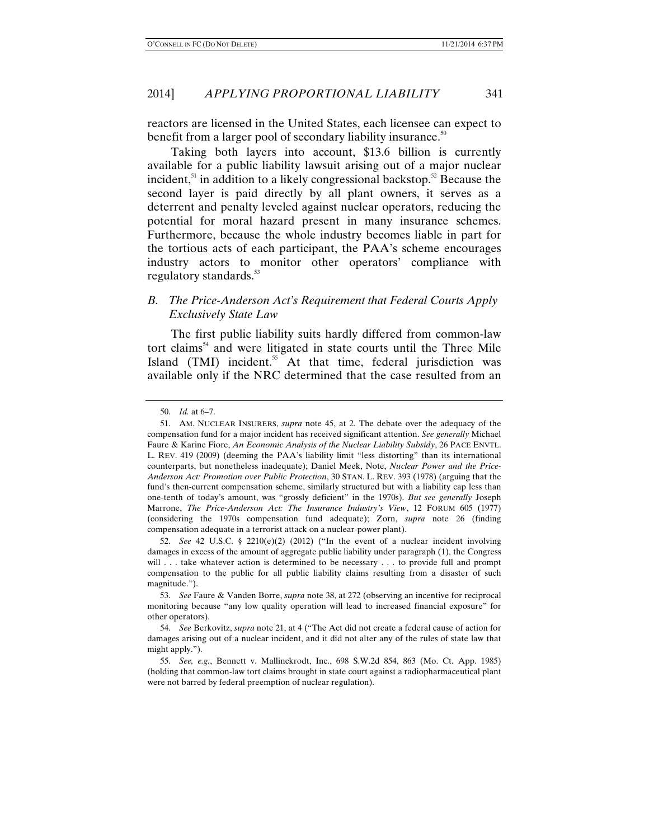reactors are licensed in the United States, each licensee can expect to benefit from a larger pool of secondary liability insurance.<sup>50</sup>

Taking both layers into account, \$13.6 billion is currently available for a public liability lawsuit arising out of a major nuclear incident, $51$  in addition to a likely congressional backstop. $52$  Because the second layer is paid directly by all plant owners, it serves as a deterrent and penalty leveled against nuclear operators, reducing the potential for moral hazard present in many insurance schemes. Furthermore, because the whole industry becomes liable in part for the tortious acts of each participant, the PAA's scheme encourages industry actors to monitor other operators' compliance with regulatory standards.<sup>53</sup>

# *B. The Price-Anderson Act's Requirement that Federal Courts Apply Exclusively State Law*

The first public liability suits hardly differed from common-law tort claims $<sup>54</sup>$  and were litigated in state courts until the Three Mile</sup> Island (TMI) incident.<sup>55</sup> At that time, federal jurisdiction was available only if the NRC determined that the case resulted from an

 <sup>50.</sup> *Id.* at 6–7.

 <sup>51.</sup> AM. NUCLEAR INSURERS, *supra* note 45, at 2. The debate over the adequacy of the compensation fund for a major incident has received significant attention. *See generally* Michael Faure & Karine Fiore, *An Economic Analysis of the Nuclear Liability Subsidy*, 26 PACE ENVTL. L. REV. 419 (2009) (deeming the PAA's liability limit "less distorting" than its international counterparts, but nonetheless inadequate); Daniel Meek, Note, *Nuclear Power and the Price-Anderson Act: Promotion over Public Protection*, 30 STAN. L. REV. 393 (1978) (arguing that the fund's then-current compensation scheme, similarly structured but with a liability cap less than one-tenth of today's amount, was "grossly deficient" in the 1970s). *But see generally* Joseph Marrone, *The Price-Anderson Act: The Insurance Industry's View*, 12 FORUM 605 (1977) (considering the 1970s compensation fund adequate); Zorn, *supra* note 26 (finding compensation adequate in a terrorist attack on a nuclear-power plant).

<sup>52.</sup> *See* 42 U.S.C. §  $2210(e)(2)$  (2012) ("In the event of a nuclear incident involving damages in excess of the amount of aggregate public liability under paragraph (1), the Congress will . . . take whatever action is determined to be necessary . . . to provide full and prompt compensation to the public for all public liability claims resulting from a disaster of such magnitude.").

 <sup>53.</sup> *See* Faure & Vanden Borre, *supra* note 38, at 272 (observing an incentive for reciprocal monitoring because "any low quality operation will lead to increased financial exposure" for other operators).

 <sup>54.</sup> *See* Berkovitz, *supra* note 21, at 4 ("The Act did not create a federal cause of action for damages arising out of a nuclear incident, and it did not alter any of the rules of state law that might apply.").

 <sup>55.</sup> *See, e.g.*, Bennett v. Mallinckrodt, Inc., 698 S.W.2d 854, 863 (Mo. Ct. App. 1985) (holding that common-law tort claims brought in state court against a radiopharmaceutical plant were not barred by federal preemption of nuclear regulation).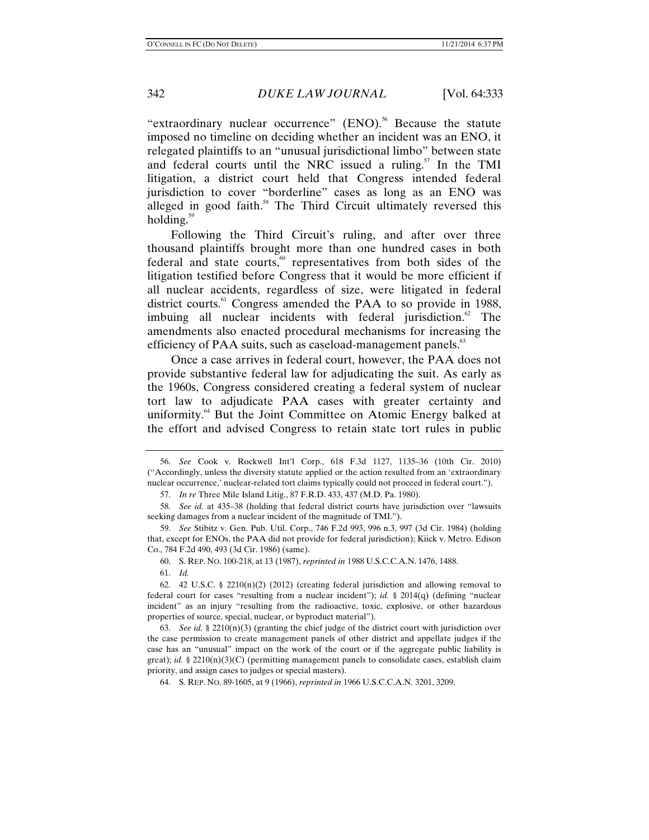"extraordinary nuclear occurrence" (ENO).<sup>56</sup> Because the statute imposed no timeline on deciding whether an incident was an ENO, it relegated plaintiffs to an "unusual jurisdictional limbo" between state and federal courts until the NRC issued a ruling.<sup>57</sup> In the TMI litigation, a district court held that Congress intended federal jurisdiction to cover "borderline" cases as long as an ENO was alleged in good faith.<sup>58</sup> The Third Circuit ultimately reversed this holding. $59$ 

Following the Third Circuit's ruling, and after over three thousand plaintiffs brought more than one hundred cases in both federal and state courts, $60$  representatives from both sides of the litigation testified before Congress that it would be more efficient if all nuclear accidents, regardless of size, were litigated in federal district courts.<sup>61</sup> Congress amended the PAA to so provide in 1988, imbuing all nuclear incidents with federal jurisdiction.<sup>62</sup> The amendments also enacted procedural mechanisms for increasing the efficiency of PAA suits, such as caseload-management panels.<sup>63</sup>

Once a case arrives in federal court, however, the PAA does not provide substantive federal law for adjudicating the suit. As early as the 1960s, Congress considered creating a federal system of nuclear tort law to adjudicate PAA cases with greater certainty and uniformity.<sup>64</sup> But the Joint Committee on Atomic Energy balked at the effort and advised Congress to retain state tort rules in public

 <sup>56.</sup> *See* Cook v. Rockwell Int'l Corp., 618 F.3d 1127, 1135–36 (10th Cir. 2010) ("Accordingly, unless the diversity statute applied or the action resulted from an 'extraordinary nuclear occurrence,' nuclear-related tort claims typically could not proceed in federal court.").

 <sup>57.</sup> *In re* Three Mile Island Litig., 87 F.R.D. 433, 437 (M.D. Pa. 1980).

 <sup>58.</sup> *See id.* at 435–38 (holding that federal district courts have jurisdiction over "lawsuits seeking damages from a nuclear incident of the magnitude of TMI.").

 <sup>59.</sup> *See* Stibitz v. Gen. Pub. Util. Corp., 746 F.2d 993, 996 n.3, 997 (3d Cir. 1984) (holding that, except for ENOs, the PAA did not provide for federal jurisdiction); Kiick v. Metro. Edison Co., 784 F.2d 490, 493 (3d Cir. 1986) (same).

 <sup>60.</sup> S. REP. NO. 100-218, at 13 (1987), *reprinted in* 1988 U.S.C.C.A.N. 1476, 1488.

 <sup>61.</sup> *Id.*

<sup>62. 42</sup> U.S.C. § 2210(n)(2) (2012) (creating federal jurisdiction and allowing removal to federal court for cases "resulting from a nuclear incident"); *id.* § 2014(q) (defining "nuclear incident" as an injury "resulting from the radioactive, toxic, explosive, or other hazardous properties of source, special, nuclear, or byproduct material").

<sup>63.</sup> *See id.* § 2210(n)(3) (granting the chief judge of the district court with jurisdiction over the case permission to create management panels of other district and appellate judges if the case has an "unusual" impact on the work of the court or if the aggregate public liability is great); *id.* § 2210(n)(3)(C) (permitting management panels to consolidate cases, establish claim priority, and assign cases to judges or special masters).

 <sup>64.</sup> S. REP. NO. 89-1605, at 9 (1966), *reprinted in* 1966 U.S.C.C.A.N. 3201, 3209.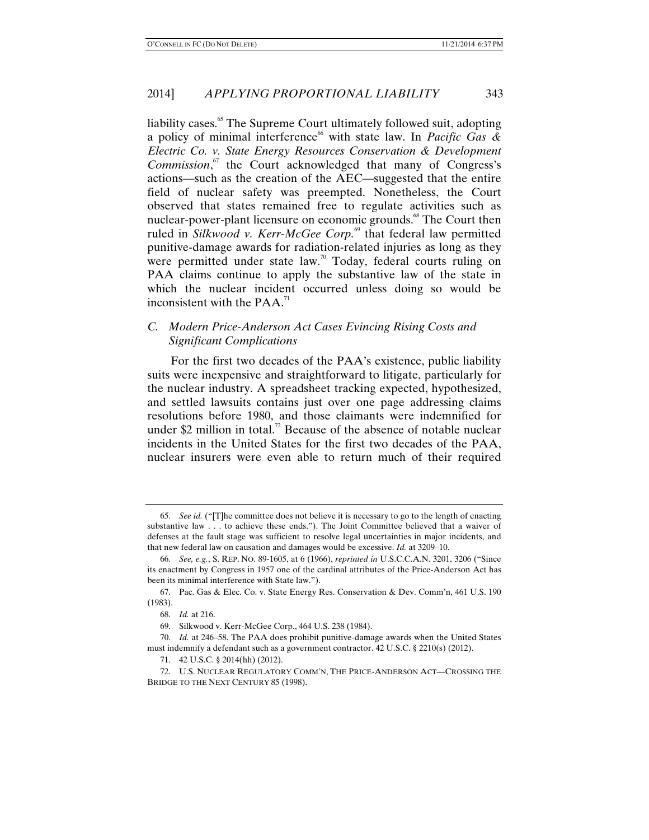liability cases.<sup>65</sup> The Supreme Court ultimately followed suit, adopting a policy of minimal interference<sup>66</sup> with state law. In *Pacific Gas & Electric Co. v. State Energy Resources Conservation & Development*  Commission,<sup>67</sup> the Court acknowledged that many of Congress's actions—such as the creation of the AEC—suggested that the entire field of nuclear safety was preempted. Nonetheless, the Court observed that states remained free to regulate activities such as nuclear-power-plant licensure on economic grounds.<sup>68</sup> The Court then ruled in *Silkwood v. Kerr-McGee Corp.*<sup>69</sup> that federal law permitted punitive-damage awards for radiation-related injuries as long as they were permitted under state law.<sup>70</sup> Today, federal courts ruling on PAA claims continue to apply the substantive law of the state in which the nuclear incident occurred unless doing so would be inconsistent with the  $PAA$ <sup> $<sup>71</sup>$ </sup></sup>

# *C. Modern Price-Anderson Act Cases Evincing Rising Costs and Significant Complications*

For the first two decades of the PAA's existence, public liability suits were inexpensive and straightforward to litigate, particularly for the nuclear industry. A spreadsheet tracking expected, hypothesized, and settled lawsuits contains just over one page addressing claims resolutions before 1980, and those claimants were indemnified for under \$2 million in total.<sup>72</sup> Because of the absence of notable nuclear incidents in the United States for the first two decades of the PAA, nuclear insurers were even able to return much of their required

 <sup>65.</sup> *See id.* ("[T]he committee does not believe it is necessary to go to the length of enacting substantive law . . . to achieve these ends."). The Joint Committee believed that a waiver of defenses at the fault stage was sufficient to resolve legal uncertainties in major incidents, and that new federal law on causation and damages would be excessive. *Id.* at 3209–10.

 <sup>66.</sup> *See, e.g.*, S. REP. NO. 89-1605, at 6 (1966), *reprinted in* U.S.C.C.A.N. 3201, 3206 ("Since its enactment by Congress in 1957 one of the cardinal attributes of the Price-Anderson Act has been its minimal interference with State law.").

 <sup>67.</sup> Pac. Gas & Elec. Co. v. State Energy Res. Conservation & Dev. Comm'n, 461 U.S. 190 (1983).

 <sup>68.</sup> *Id.* at 216.

 <sup>69.</sup> Silkwood v. Kerr-McGee Corp., 464 U.S. 238 (1984).

 <sup>70.</sup> *Id.* at 246–58. The PAA does prohibit punitive-damage awards when the United States must indemnify a defendant such as a government contractor. 42 U.S.C. § 2210(s) (2012).

 <sup>71. 42</sup> U.S.C. § 2014(hh) (2012).

 <sup>72.</sup> U.S. NUCLEAR REGULATORY COMM'N, THE PRICE-ANDERSON ACT—CROSSING THE BRIDGE TO THE NEXT CENTURY 85 (1998).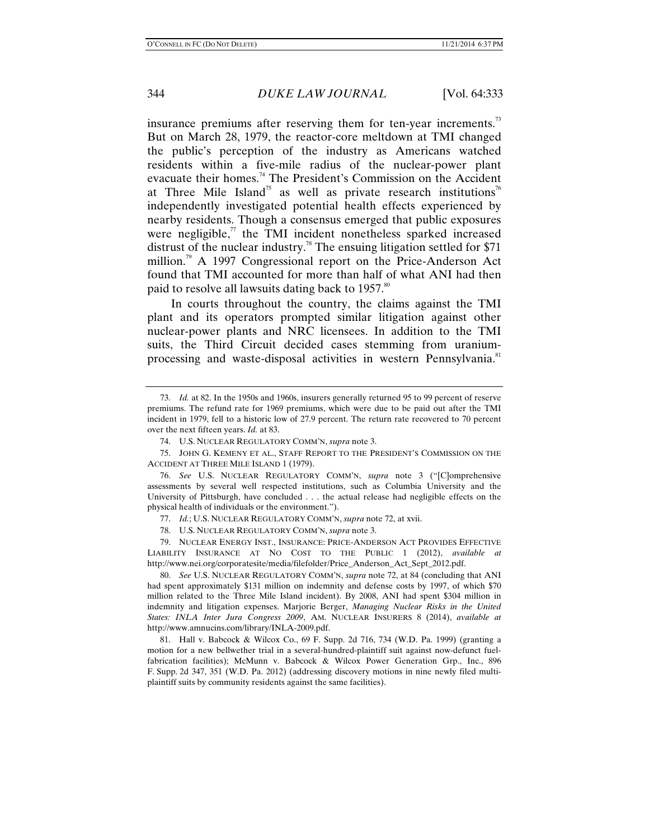insurance premiums after reserving them for ten-year increments.<sup>73</sup> But on March 28, 1979, the reactor-core meltdown at TMI changed the public's perception of the industry as Americans watched residents within a five-mile radius of the nuclear-power plant evacuate their homes.74 The President's Commission on the Accident at Three Mile Island<sup>75</sup> as well as private research institutions<sup>76</sup> independently investigated potential health effects experienced by nearby residents. Though a consensus emerged that public exposures were negligible, $\pi$  the TMI incident nonetheless sparked increased distrust of the nuclear industry.<sup>78</sup> The ensuing litigation settled for \$71 million.<sup>79</sup> A 1997 Congressional report on the Price-Anderson Act found that TMI accounted for more than half of what ANI had then paid to resolve all lawsuits dating back to 1957.<sup>80</sup>

In courts throughout the country, the claims against the TMI plant and its operators prompted similar litigation against other nuclear-power plants and NRC licensees. In addition to the TMI suits, the Third Circuit decided cases stemming from uraniumprocessing and waste-disposal activities in western Pennsylvania.<sup>81</sup>

 76. *See* U.S. NUCLEAR REGULATORY COMM'N, *supra* note 3 ("[C]omprehensive assessments by several well respected institutions, such as Columbia University and the University of Pittsburgh, have concluded . . . the actual release had negligible effects on the physical health of individuals or the environment.").

77. *Id.*; U.S. NUCLEAR REGULATORY COMM'N, *supra* note 72, at xvii.

78. U.S. NUCLEAR REGULATORY COMM'N, *supra* note 3.

 79. NUCLEAR ENERGY INST., INSURANCE: PRICE-ANDERSON ACT PROVIDES EFFECTIVE LIABILITY INSURANCE AT NO COST TO THE PUBLIC 1 (2012), *available at* http://www.nei.org/corporatesite/media/filefolder/Price\_Anderson\_Act\_Sept\_2012.pdf.

 80. *See* U.S. NUCLEAR REGULATORY COMM'N, *supra* note 72, at 84 (concluding that ANI had spent approximately \$131 million on indemnity and defense costs by 1997, of which \$70 million related to the Three Mile Island incident). By 2008, ANI had spent \$304 million in indemnity and litigation expenses. Marjorie Berger, *Managing Nuclear Risks in the United States: INLA Inter Jura Congress 2009*, AM. NUCLEAR INSURERS 8 (2014), *available at* http://www.amnucins.com/library/INLA-2009.pdf.

 81. Hall v. Babcock & Wilcox Co., 69 F. Supp. 2d 716, 734 (W.D. Pa. 1999) (granting a motion for a new bellwether trial in a several-hundred-plaintiff suit against now-defunct fuelfabrication facilities); McMunn v. Babcock & Wilcox Power Generation Grp., Inc., 896 F. Supp. 2d 347, 351 (W.D. Pa. 2012) (addressing discovery motions in nine newly filed multiplaintiff suits by community residents against the same facilities).

 <sup>73.</sup> *Id.* at 82. In the 1950s and 1960s, insurers generally returned 95 to 99 percent of reserve premiums. The refund rate for 1969 premiums, which were due to be paid out after the TMI incident in 1979, fell to a historic low of 27.9 percent. The return rate recovered to 70 percent over the next fifteen years. *Id.* at 83.

 <sup>74.</sup> U.S. NUCLEAR REGULATORY COMM'N, *supra* note 3.

 <sup>75.</sup> JOHN G. KEMENY ET AL., STAFF REPORT TO THE PRESIDENT'S COMMISSION ON THE ACCIDENT AT THREE MILE ISLAND 1 (1979).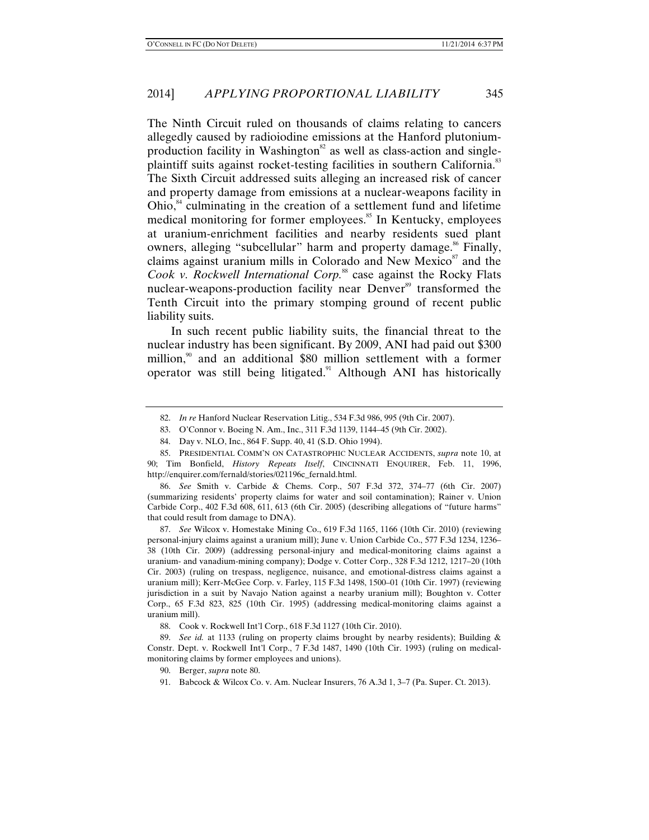The Ninth Circuit ruled on thousands of claims relating to cancers allegedly caused by radioiodine emissions at the Hanford plutoniumproduction facility in Washington<sup>82</sup> as well as class-action and singleplaintiff suits against rocket-testing facilities in southern California.<sup>83</sup> The Sixth Circuit addressed suits alleging an increased risk of cancer and property damage from emissions at a nuclear-weapons facility in Ohio, $\mu$ <sup>84</sup> culminating in the creation of a settlement fund and lifetime medical monitoring for former employees.<sup>85</sup> In Kentucky, employees at uranium-enrichment facilities and nearby residents sued plant owners, alleging "subcellular" harm and property damage.<sup>86</sup> Finally, claims against uranium mills in Colorado and New Mexico $\delta^7$  and the *Cook v. Rockwell International Corp.*<sup>88</sup> case against the Rocky Flats nuclear-weapons-production facility near Denver<sup>89</sup> transformed the Tenth Circuit into the primary stomping ground of recent public liability suits.

In such recent public liability suits, the financial threat to the nuclear industry has been significant. By 2009, ANI had paid out \$300 million,<sup>90</sup> and an additional \$80 million settlement with a former operator was still being litigated.<sup>91</sup> Although ANI has historically

 86. *See* Smith v. Carbide & Chems. Corp., 507 F.3d 372, 374–77 (6th Cir. 2007) (summarizing residents' property claims for water and soil contamination); Rainer v. Union Carbide Corp., 402 F.3d 608, 611, 613 (6th Cir. 2005) (describing allegations of "future harms" that could result from damage to DNA).

 87. *See* Wilcox v. Homestake Mining Co., 619 F.3d 1165, 1166 (10th Cir. 2010) (reviewing personal-injury claims against a uranium mill); June v. Union Carbide Co., 577 F.3d 1234, 1236– 38 (10th Cir. 2009) (addressing personal-injury and medical-monitoring claims against a uranium- and vanadium-mining company); Dodge v. Cotter Corp., 328 F.3d 1212, 1217–20 (10th Cir. 2003) (ruling on trespass, negligence, nuisance, and emotional-distress claims against a uranium mill); Kerr-McGee Corp. v. Farley, 115 F.3d 1498, 1500–01 (10th Cir. 1997) (reviewing jurisdiction in a suit by Navajo Nation against a nearby uranium mill); Boughton v. Cotter Corp., 65 F.3d 823, 825 (10th Cir. 1995) (addressing medical-monitoring claims against a uranium mill).

 89. *See id.* at 1133 (ruling on property claims brought by nearby residents); Building & Constr. Dept. v. Rockwell Int'l Corp., 7 F.3d 1487, 1490 (10th Cir. 1993) (ruling on medicalmonitoring claims by former employees and unions).

 <sup>82.</sup> *In re* Hanford Nuclear Reservation Litig., 534 F.3d 986, 995 (9th Cir. 2007).

 <sup>83.</sup> O'Connor v. Boeing N. Am., Inc., 311 F.3d 1139, 1144–45 (9th Cir. 2002).

 <sup>84.</sup> Day v. NLO, Inc., 864 F. Supp. 40, 41 (S.D. Ohio 1994).

 <sup>85.</sup> PRESIDENTIAL COMM'N ON CATASTROPHIC NUCLEAR ACCIDENTS, *supra* note 10, at 90; Tim Bonfield, *History Repeats Itself*, CINCINNATI ENQUIRER, Feb. 11, 1996, http://enquirer.com/fernald/stories/021196c\_fernald.html.

 <sup>88.</sup> Cook v. Rockwell Int'l Corp., 618 F.3d 1127 (10th Cir. 2010).

 <sup>90.</sup> Berger, *supra* note 80.

 <sup>91.</sup> Babcock & Wilcox Co. v. Am. Nuclear Insurers, 76 A.3d 1, 3–7 (Pa. Super. Ct. 2013).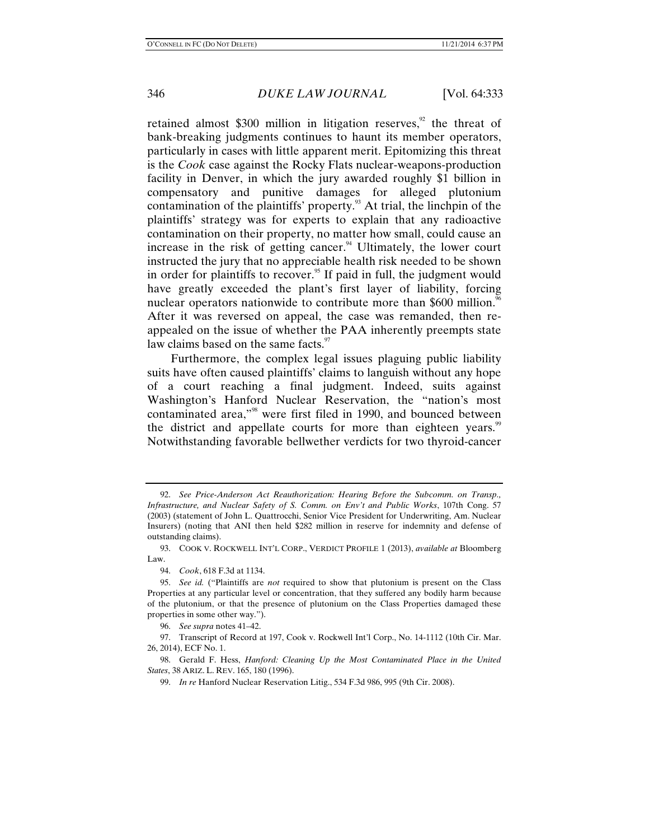retained almost \$300 million in litigation reserves, $\frac{9}{2}$  the threat of bank-breaking judgments continues to haunt its member operators, particularly in cases with little apparent merit. Epitomizing this threat is the *Cook* case against the Rocky Flats nuclear-weapons-production facility in Denver, in which the jury awarded roughly \$1 billion in compensatory and punitive damages for alleged plutonium contamination of the plaintiffs' property.<sup>93</sup> At trial, the linchpin of the plaintiffs' strategy was for experts to explain that any radioactive contamination on their property, no matter how small, could cause an increase in the risk of getting cancer. $94$  Ultimately, the lower court instructed the jury that no appreciable health risk needed to be shown in order for plaintiffs to recover.<sup>95</sup> If paid in full, the judgment would have greatly exceeded the plant's first layer of liability, forcing nuclear operators nationwide to contribute more than \$600 million.<sup>96</sup> After it was reversed on appeal, the case was remanded, then reappealed on the issue of whether the PAA inherently preempts state law claims based on the same facts. $\frac{97}{2}$ 

Furthermore, the complex legal issues plaguing public liability suits have often caused plaintiffs' claims to languish without any hope of a court reaching a final judgment. Indeed, suits against Washington's Hanford Nuclear Reservation, the "nation's most contaminated area,"98 were first filed in 1990, and bounced between the district and appellate courts for more than eighteen years.<sup>99</sup> Notwithstanding favorable bellwether verdicts for two thyroid-cancer

 <sup>92.</sup> *See Price-Anderson Act Reauthorization: Hearing Before the Subcomm. on Transp., Infrastructure, and Nuclear Safety of S. Comm. on Env't and Public Works*, 107th Cong. 57 (2003) (statement of John L. Quattrocchi, Senior Vice President for Underwriting, Am. Nuclear Insurers) (noting that ANI then held \$282 million in reserve for indemnity and defense of outstanding claims).

 <sup>93.</sup> COOK V. ROCKWELL INT'L CORP., VERDICT PROFILE 1 (2013), *available at* Bloomberg Law.

 <sup>94.</sup> *Cook*, 618 F.3d at 1134.

 <sup>95.</sup> *See id.* ("Plaintiffs are *not* required to show that plutonium is present on the Class Properties at any particular level or concentration, that they suffered any bodily harm because of the plutonium, or that the presence of plutonium on the Class Properties damaged these properties in some other way.").

 <sup>96.</sup> *See supra* notes 41–42.

 <sup>97.</sup> Transcript of Record at 197, Cook v. Rockwell Int'l Corp., No. 14-1112 (10th Cir. Mar. 26, 2014), ECF No. 1.

 <sup>98.</sup> Gerald F. Hess, *Hanford: Cleaning Up the Most Contaminated Place in the United States*, 38 ARIZ. L. REV. 165, 180 (1996).

 <sup>99.</sup> *In re* Hanford Nuclear Reservation Litig., 534 F.3d 986, 995 (9th Cir. 2008).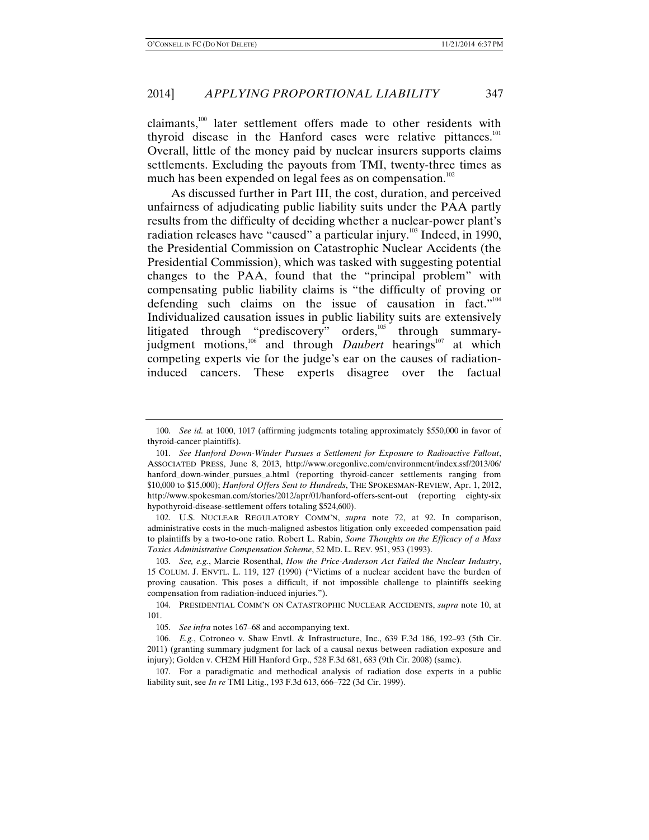claimants, $100$  later settlement offers made to other residents with thyroid disease in the Hanford cases were relative pittances.<sup>101</sup> Overall, little of the money paid by nuclear insurers supports claims settlements. Excluding the payouts from TMI, twenty-three times as much has been expended on legal fees as on compensation.<sup>102</sup>

As discussed further in Part III, the cost, duration, and perceived unfairness of adjudicating public liability suits under the PAA partly results from the difficulty of deciding whether a nuclear-power plant's radiation releases have "caused" a particular injury.<sup>103</sup> Indeed, in 1990, the Presidential Commission on Catastrophic Nuclear Accidents (the Presidential Commission), which was tasked with suggesting potential changes to the PAA, found that the "principal problem" with compensating public liability claims is "the difficulty of proving or defending such claims on the issue of causation in fact."104 Individualized causation issues in public liability suits are extensively litigated through "prediscovery" orders,<sup>105</sup> through summaryjudgment motions, $106 \text{ rad}$  and through *Daubert* hearings<sup>107</sup> at which competing experts vie for the judge's ear on the causes of radiationinduced cancers. These experts disagree over the factual

 102. U.S. NUCLEAR REGULATORY COMM'N, *supra* note 72, at 92. In comparison, administrative costs in the much-maligned asbestos litigation only exceeded compensation paid to plaintiffs by a two-to-one ratio. Robert L. Rabin, *Some Thoughts on the Efficacy of a Mass Toxics Administrative Compensation Scheme*, 52 MD. L. REV. 951, 953 (1993).

 <sup>100.</sup> *See id.* at 1000, 1017 (affirming judgments totaling approximately \$550,000 in favor of thyroid-cancer plaintiffs).

 <sup>101.</sup> *See Hanford Down-Winder Pursues a Settlement for Exposure to Radioactive Fallout*, ASSOCIATED PRESS, June 8, 2013, http://www.oregonlive.com/environment/index.ssf/2013/06/ hanford\_down-winder\_pursues\_a.html (reporting thyroid-cancer settlements ranging from \$10,000 to \$15,000); *Hanford Offers Sent to Hundreds*, THE SPOKESMAN-REVIEW, Apr. 1, 2012, http://www.spokesman.com/stories/2012/apr/01/hanford-offers-sent-out (reporting eighty-six hypothyroid-disease-settlement offers totaling \$524,600).

 <sup>103.</sup> *See, e.g.*, Marcie Rosenthal, *How the Price-Anderson Act Failed the Nuclear Industry*, 15 COLUM. J. ENVTL. L. 119, 127 (1990) ("Victims of a nuclear accident have the burden of proving causation. This poses a difficult, if not impossible challenge to plaintiffs seeking compensation from radiation-induced injuries.").

 <sup>104.</sup> PRESIDENTIAL COMM'N ON CATASTROPHIC NUCLEAR ACCIDENTS, *supra* note 10, at 101.

 <sup>105.</sup> *See infra* notes 167–68 and accompanying text.

 <sup>106.</sup> *E.g.*, Cotroneo v. Shaw Envtl. & Infrastructure, Inc., 639 F.3d 186, 192–93 (5th Cir. 2011) (granting summary judgment for lack of a causal nexus between radiation exposure and injury); Golden v. CH2M Hill Hanford Grp., 528 F.3d 681, 683 (9th Cir. 2008) (same).

 <sup>107.</sup> For a paradigmatic and methodical analysis of radiation dose experts in a public liability suit, see *In re* TMI Litig., 193 F.3d 613, 666–722 (3d Cir. 1999).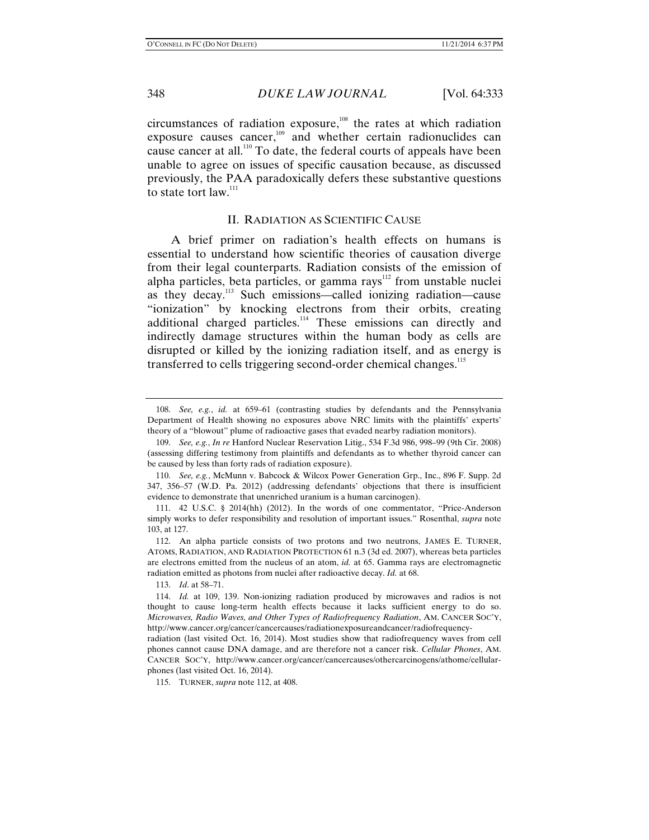circumstances of radiation exposure, $108$  the rates at which radiation exposure causes cancer,<sup>109</sup> and whether certain radionuclides can cause cancer at all.110 To date, the federal courts of appeals have been unable to agree on issues of specific causation because, as discussed previously, the PAA paradoxically defers these substantive questions to state tort law.<sup>111</sup>

#### II. RADIATION AS SCIENTIFIC CAUSE

A brief primer on radiation's health effects on humans is essential to understand how scientific theories of causation diverge from their legal counterparts. Radiation consists of the emission of alpha particles, beta particles, or gamma rays<sup>112</sup> from unstable nuclei as they decay.<sup>113</sup> Such emissions—called ionizing radiation—cause "ionization" by knocking electrons from their orbits, creating additional charged particles.<sup>114</sup> These emissions can directly and indirectly damage structures within the human body as cells are disrupted or killed by the ionizing radiation itself, and as energy is transferred to cells triggering second-order chemical changes.<sup>115</sup>

 <sup>108.</sup> *See, e.g.*, *id.* at 659–61 (contrasting studies by defendants and the Pennsylvania Department of Health showing no exposures above NRC limits with the plaintiffs' experts' theory of a "blowout" plume of radioactive gases that evaded nearby radiation monitors).

 <sup>109.</sup> *See, e.g.*, *In re* Hanford Nuclear Reservation Litig., 534 F.3d 986, 998–99 (9th Cir. 2008) (assessing differing testimony from plaintiffs and defendants as to whether thyroid cancer can be caused by less than forty rads of radiation exposure).

 <sup>110.</sup> *See, e.g.*, McMunn v. Babcock & Wilcox Power Generation Grp., Inc., 896 F. Supp. 2d 347, 356–57 (W.D. Pa. 2012) (addressing defendants' objections that there is insufficient evidence to demonstrate that unenriched uranium is a human carcinogen).

 <sup>111. 42</sup> U.S.C. § 2014(hh) (2012). In the words of one commentator, "Price-Anderson simply works to defer responsibility and resolution of important issues." Rosenthal, *supra* note 103, at 127.

 <sup>112.</sup> An alpha particle consists of two protons and two neutrons, JAMES E. TURNER, ATOMS, RADIATION, AND RADIATION PROTECTION 61 n.3 (3d ed. 2007), whereas beta particles are electrons emitted from the nucleus of an atom, *id.* at 65. Gamma rays are electromagnetic radiation emitted as photons from nuclei after radioactive decay. *Id.* at 68.

 <sup>113.</sup> *Id*. at 58–71.

 <sup>114.</sup> *Id.* at 109, 139. Non-ionizing radiation produced by microwaves and radios is not thought to cause long-term health effects because it lacks sufficient energy to do so. *Microwaves, Radio Waves, and Other Types of Radiofrequency Radiation*, AM. CANCER SOC'Y, http://www.cancer.org/cancer/cancercauses/radiationexposureandcancer/radiofrequency-

radiation (last visited Oct. 16, 2014). Most studies show that radiofrequency waves from cell phones cannot cause DNA damage, and are therefore not a cancer risk. *Cellular Phones*, AM. CANCER SOC'Y, http://www.cancer.org/cancer/cancercauses/othercarcinogens/athome/cellularphones (last visited Oct. 16, 2014).

 <sup>115.</sup> TURNER, *supra* note 112, at 408.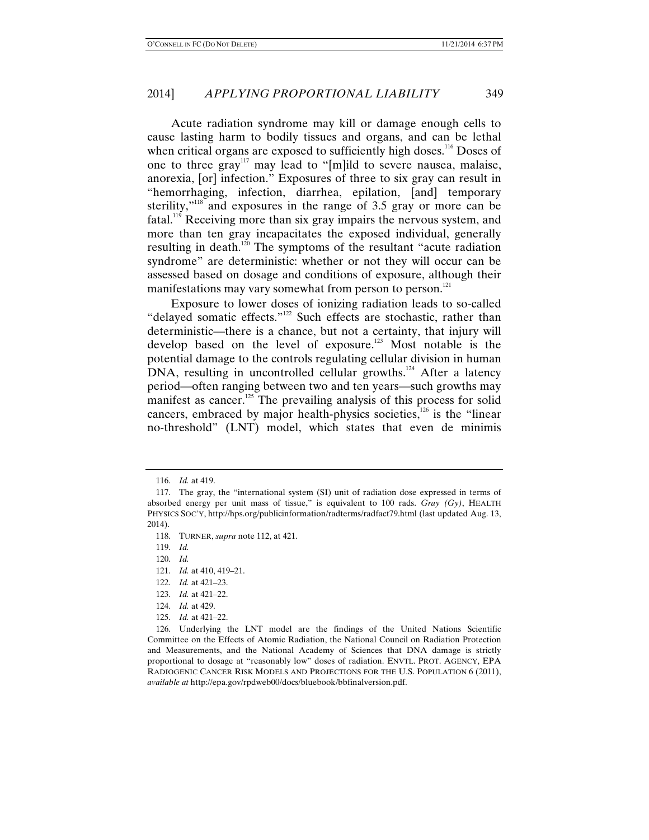Acute radiation syndrome may kill or damage enough cells to cause lasting harm to bodily tissues and organs, and can be lethal when critical organs are exposed to sufficiently high doses.<sup>116</sup> Doses of one to three gray<sup>117</sup> may lead to "[m]ild to severe nausea, malaise, anorexia, [or] infection." Exposures of three to six gray can result in "hemorrhaging, infection, diarrhea, epilation, [and] temporary sterility,"<sup>118</sup> and exposures in the range of 3.5 gray or more can be fatal.<sup>119</sup> Receiving more than six gray impairs the nervous system, and more than ten gray incapacitates the exposed individual, generally resulting in death.<sup>120</sup> The symptoms of the resultant "acute radiation" syndrome" are deterministic: whether or not they will occur can be assessed based on dosage and conditions of exposure, although their manifestations may vary somewhat from person to person.<sup>121</sup>

Exposure to lower doses of ionizing radiation leads to so-called "delayed somatic effects."<sup>122</sup> Such effects are stochastic, rather than deterministic—there is a chance, but not a certainty, that injury will develop based on the level of exposure.<sup>123</sup> Most notable is the potential damage to the controls regulating cellular division in human  $DNA$ , resulting in uncontrolled cellular growths.<sup>124</sup> After a latency period—often ranging between two and ten years—such growths may manifest as cancer.<sup>125</sup> The prevailing analysis of this process for solid cancers, embraced by major health-physics societies, $126$  is the "linear no-threshold" (LNT) model, which states that even de minimis

- 121. *Id.* at 410, 419–21.
- 122. *Id.* at 421–23.
- 123. *Id.* at 421–22.
- 124. *Id.* at 429.
- 125. *Id.* at 421–22.

 <sup>116.</sup> *Id.* at 419.

 <sup>117.</sup> The gray, the "international system (SI) unit of radiation dose expressed in terms of absorbed energy per unit mass of tissue," is equivalent to 100 rads. *Gray (Gy)*, HEALTH PHYSICS SOC'Y, http://hps.org/publicinformation/radterms/radfact79.html (last updated Aug. 13, 2014).

 <sup>118.</sup> TURNER, *supra* note 112, at 421.

 <sup>119.</sup> *Id.*

 <sup>120.</sup> *Id.*

 <sup>126.</sup> Underlying the LNT model are the findings of the United Nations Scientific Committee on the Effects of Atomic Radiation, the National Council on Radiation Protection and Measurements, and the National Academy of Sciences that DNA damage is strictly proportional to dosage at "reasonably low" doses of radiation. ENVTL. PROT. AGENCY, EPA RADIOGENIC CANCER RISK MODELS AND PROJECTIONS FOR THE U.S. POPULATION 6 (2011), *available at* http://epa.gov/rpdweb00/docs/bluebook/bbfinalversion.pdf.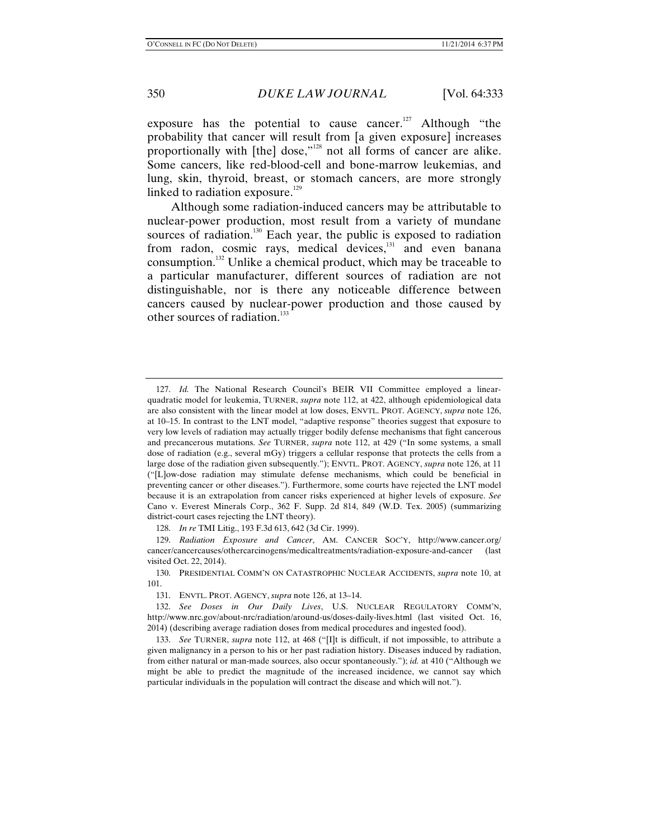exposure has the potential to cause cancer.<sup>127</sup> Although "the probability that cancer will result from [a given exposure] increases proportionally with [the] dose,"128 not all forms of cancer are alike. Some cancers, like red-blood-cell and bone-marrow leukemias, and lung, skin, thyroid, breast, or stomach cancers, are more strongly linked to radiation exposure.<sup>129</sup>

Although some radiation-induced cancers may be attributable to nuclear-power production, most result from a variety of mundane sources of radiation.<sup>130</sup> Each year, the public is exposed to radiation from radon, cosmic rays, medical devices, $131$  and even banana consumption.132 Unlike a chemical product, which may be traceable to a particular manufacturer, different sources of radiation are not distinguishable, nor is there any noticeable difference between cancers caused by nuclear-power production and those caused by other sources of radiation.<sup>133</sup>

128. *In re* TMI Litig., 193 F.3d 613, 642 (3d Cir. 1999).

 129. *Radiation Exposure and Cancer*, AM. CANCER SOC'Y, http://www.cancer.org/ cancer/cancercauses/othercarcinogens/medicaltreatments/radiation-exposure-and-cancer (last visited Oct. 22, 2014).

131. ENVTL. PROT. AGENCY, *supra* note 126, at 13–14.

 132. *See Doses in Our Daily Lives*, U.S. NUCLEAR REGULATORY COMM'N, http://www.nrc.gov/about-nrc/radiation/around-us/doses-daily-lives.html (last visited Oct. 16, 2014) (describing average radiation doses from medical procedures and ingested food).

 133. *See* TURNER, *supra* note 112, at 468 ("[I]t is difficult, if not impossible, to attribute a given malignancy in a person to his or her past radiation history. Diseases induced by radiation, from either natural or man-made sources, also occur spontaneously."); *id.* at 410 ("Although we might be able to predict the magnitude of the increased incidence, we cannot say which particular individuals in the population will contract the disease and which will not.").

 <sup>127.</sup> *Id.* The National Research Council's BEIR VII Committee employed a linearquadratic model for leukemia, TURNER, *supra* note 112, at 422, although epidemiological data are also consistent with the linear model at low doses, ENVTL. PROT. AGENCY, *supra* note 126, at 10–15. In contrast to the LNT model, "adaptive response" theories suggest that exposure to very low levels of radiation may actually trigger bodily defense mechanisms that fight cancerous and precancerous mutations. *See* TURNER, *supra* note 112, at 429 ("In some systems, a small dose of radiation (e.g., several mGy) triggers a cellular response that protects the cells from a large dose of the radiation given subsequently."); ENVTL. PROT. AGENCY, *supra* note 126, at 11 ("[L]ow-dose radiation may stimulate defense mechanisms, which could be beneficial in preventing cancer or other diseases."). Furthermore, some courts have rejected the LNT model because it is an extrapolation from cancer risks experienced at higher levels of exposure. *See* Cano v. Everest Minerals Corp., 362 F. Supp. 2d 814, 849 (W.D. Tex. 2005) (summarizing district-court cases rejecting the LNT theory).

 <sup>130.</sup> PRESIDENTIAL COMM'N ON CATASTROPHIC NUCLEAR ACCIDENTS, *supra* note 10, at 101.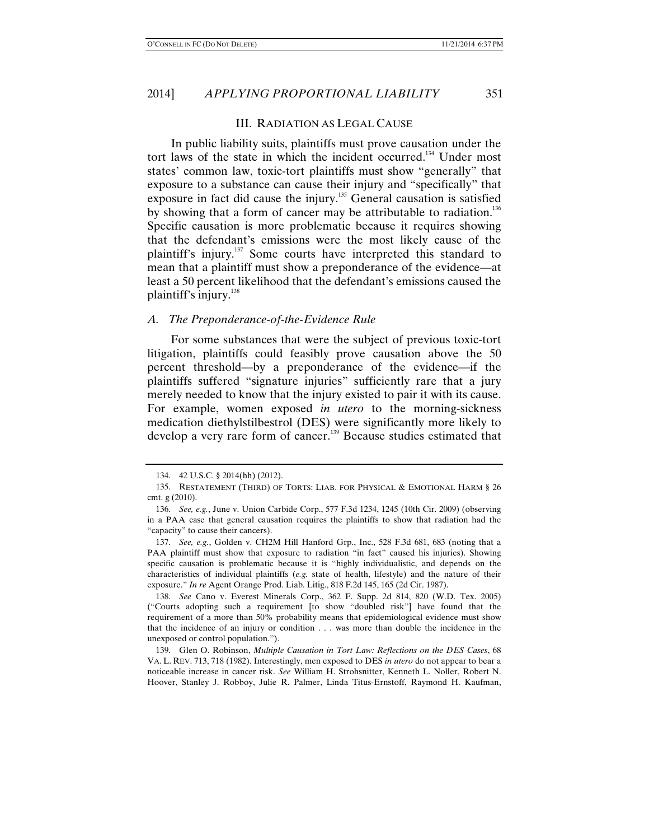#### III. RADIATION AS LEGAL CAUSE

In public liability suits, plaintiffs must prove causation under the tort laws of the state in which the incident occurred.<sup>134</sup> Under most states' common law, toxic-tort plaintiffs must show "generally" that exposure to a substance can cause their injury and "specifically" that exposure in fact did cause the injury.<sup>135</sup> General causation is satisfied by showing that a form of cancer may be attributable to radiation.<sup>136</sup> Specific causation is more problematic because it requires showing that the defendant's emissions were the most likely cause of the plaintiff's injury.<sup>137</sup> Some courts have interpreted this standard to mean that a plaintiff must show a preponderance of the evidence—at least a 50 percent likelihood that the defendant's emissions caused the plaintiff's injury. $^{138}$ 

#### *A. The Preponderance-of-the-Evidence Rule*

For some substances that were the subject of previous toxic-tort litigation, plaintiffs could feasibly prove causation above the 50 percent threshold—by a preponderance of the evidence—if the plaintiffs suffered "signature injuries" sufficiently rare that a jury merely needed to know that the injury existed to pair it with its cause. For example, women exposed *in utero* to the morning-sickness medication diethylstilbestrol (DES) were significantly more likely to develop a very rare form of cancer.<sup>139</sup> Because studies estimated that

 <sup>134. 42</sup> U.S.C. § 2014(hh) (2012).

 <sup>135.</sup> RESTATEMENT (THIRD) OF TORTS: LIAB. FOR PHYSICAL & EMOTIONAL HARM § 26 cmt. g (2010).

 <sup>136.</sup> *See, e.g.*, June v. Union Carbide Corp., 577 F.3d 1234, 1245 (10th Cir. 2009) (observing in a PAA case that general causation requires the plaintiffs to show that radiation had the "capacity" to cause their cancers).

 <sup>137.</sup> *See, e.g.*, Golden v. CH2M Hill Hanford Grp., Inc., 528 F.3d 681, 683 (noting that a PAA plaintiff must show that exposure to radiation "in fact" caused his injuries). Showing specific causation is problematic because it is "highly individualistic, and depends on the characteristics of individual plaintiffs (*e.g.* state of health, lifestyle) and the nature of their exposure." *In re* Agent Orange Prod. Liab. Litig., 818 F.2d 145, 165 (2d Cir. 1987).

 <sup>138.</sup> *See* Cano v. Everest Minerals Corp., 362 F. Supp. 2d 814, 820 (W.D. Tex. 2005) ("Courts adopting such a requirement [to show "doubled risk"] have found that the requirement of a more than 50% probability means that epidemiological evidence must show that the incidence of an injury or condition . . . was more than double the incidence in the unexposed or control population.").

 <sup>139.</sup> Glen O. Robinson, *Multiple Causation in Tort Law: Reflections on the DES Cases*, 68 VA. L. REV. 713, 718 (1982). Interestingly, men exposed to DES *in utero* do not appear to bear a noticeable increase in cancer risk. *See* William H. Strohsnitter, Kenneth L. Noller, Robert N. Hoover, Stanley J. Robboy, Julie R. Palmer, Linda Titus-Ernstoff, Raymond H. Kaufman,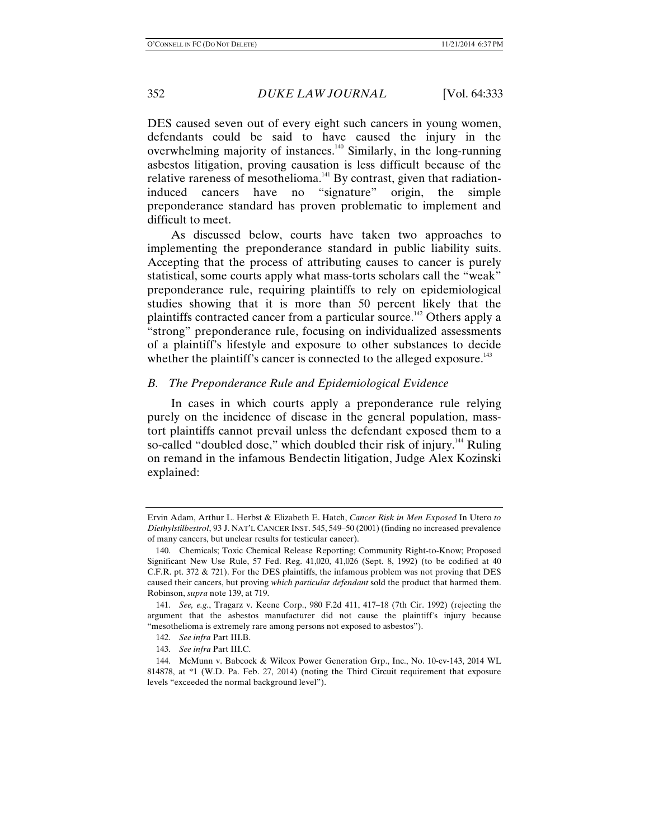DES caused seven out of every eight such cancers in young women, defendants could be said to have caused the injury in the overwhelming majority of instances. $140$  Similarly, in the long-running asbestos litigation, proving causation is less difficult because of the relative rareness of mesothelioma.<sup>141</sup> By contrast, given that radiationinduced cancers have no "signature" origin, the simple preponderance standard has proven problematic to implement and difficult to meet.

As discussed below, courts have taken two approaches to implementing the preponderance standard in public liability suits. Accepting that the process of attributing causes to cancer is purely statistical, some courts apply what mass-torts scholars call the "weak" preponderance rule, requiring plaintiffs to rely on epidemiological studies showing that it is more than 50 percent likely that the plaintiffs contracted cancer from a particular source.<sup>142</sup> Others apply a "strong" preponderance rule, focusing on individualized assessments of a plaintiff's lifestyle and exposure to other substances to decide whether the plaintiff's cancer is connected to the alleged exposure.<sup>143</sup>

## *B. The Preponderance Rule and Epidemiological Evidence*

In cases in which courts apply a preponderance rule relying purely on the incidence of disease in the general population, masstort plaintiffs cannot prevail unless the defendant exposed them to a so-called "doubled dose," which doubled their risk of injury.<sup>144</sup> Ruling on remand in the infamous Bendectin litigation, Judge Alex Kozinski explained:

Ervin Adam, Arthur L. Herbst & Elizabeth E. Hatch, *Cancer Risk in Men Exposed* In Utero *to Diethylstilbestrol*, 93 J. NAT'L CANCER INST. 545, 549–50 (2001) (finding no increased prevalence of many cancers, but unclear results for testicular cancer).

 <sup>140.</sup> Chemicals; Toxic Chemical Release Reporting; Community Right-to-Know; Proposed Significant New Use Rule, 57 Fed. Reg. 41,020, 41,026 (Sept. 8, 1992) (to be codified at 40 C.F.R. pt. 372 & 721). For the DES plaintiffs, the infamous problem was not proving that DES caused their cancers, but proving *which particular defendant* sold the product that harmed them. Robinson, *supra* note 139, at 719.

 <sup>141.</sup> *See, e.g.*, Tragarz v. Keene Corp., 980 F.2d 411, 417–18 (7th Cir. 1992) (rejecting the argument that the asbestos manufacturer did not cause the plaintiff's injury because "mesothelioma is extremely rare among persons not exposed to asbestos").

 <sup>142.</sup> *See infra* Part III.B.

 <sup>143.</sup> *See infra* Part III.C.

 <sup>144.</sup> McMunn v. Babcock & Wilcox Power Generation Grp., Inc., No. 10-cv-143, 2014 WL 814878, at \*1 (W.D. Pa. Feb. 27, 2014) (noting the Third Circuit requirement that exposure levels "exceeded the normal background level").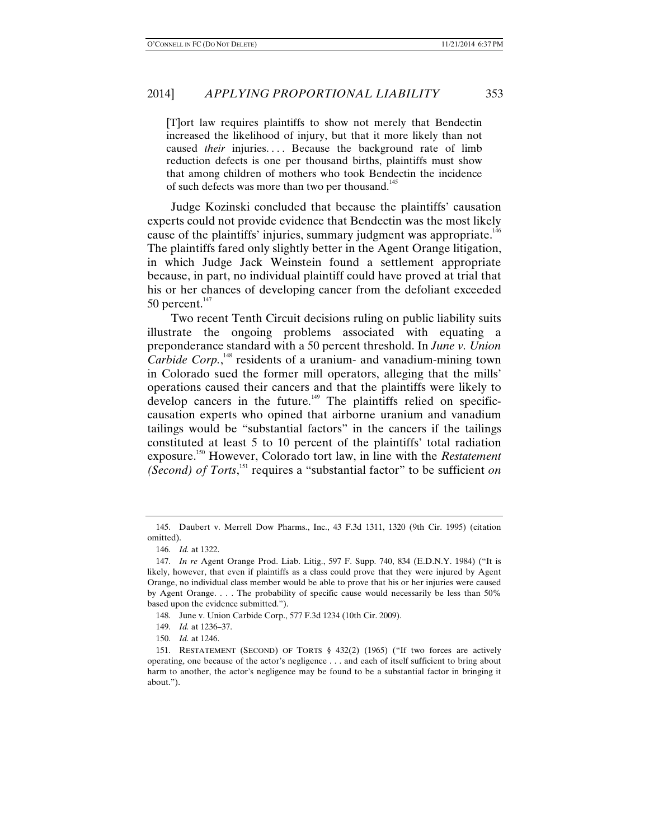[T]ort law requires plaintiffs to show not merely that Bendectin increased the likelihood of injury, but that it more likely than not caused *their* injuries.... Because the background rate of limb reduction defects is one per thousand births, plaintiffs must show that among children of mothers who took Bendectin the incidence of such defects was more than two per thousand.<sup>145</sup>

Judge Kozinski concluded that because the plaintiffs' causation experts could not provide evidence that Bendectin was the most likely cause of the plaintiffs' injuries, summary judgment was appropriate.<sup>146</sup> The plaintiffs fared only slightly better in the Agent Orange litigation, in which Judge Jack Weinstein found a settlement appropriate because, in part, no individual plaintiff could have proved at trial that his or her chances of developing cancer from the defoliant exceeded 50 percent. $147$ 

Two recent Tenth Circuit decisions ruling on public liability suits illustrate the ongoing problems associated with equating a preponderance standard with a 50 percent threshold. In *June v. Union*  Carbide Corp.,<sup>148</sup> residents of a uranium- and vanadium-mining town in Colorado sued the former mill operators, alleging that the mills' operations caused their cancers and that the plaintiffs were likely to develop cancers in the future.<sup>149</sup> The plaintiffs relied on specificcausation experts who opined that airborne uranium and vanadium tailings would be "substantial factors" in the cancers if the tailings constituted at least 5 to 10 percent of the plaintiffs' total radiation exposure.150 However, Colorado tort law, in line with the *Restatement (Second) of Torts*,<sup>151</sup> requires a "substantial factor" to be sufficient *on* 

 <sup>145.</sup> Daubert v. Merrell Dow Pharms., Inc., 43 F.3d 1311, 1320 (9th Cir. 1995) (citation omitted).

 <sup>146.</sup> *Id.* at 1322.

 <sup>147.</sup> *In re* Agent Orange Prod. Liab. Litig., 597 F. Supp. 740, 834 (E.D.N.Y. 1984) ("It is likely, however, that even if plaintiffs as a class could prove that they were injured by Agent Orange, no individual class member would be able to prove that his or her injuries were caused by Agent Orange. . . . The probability of specific cause would necessarily be less than 50% based upon the evidence submitted.").

 <sup>148.</sup> June v. Union Carbide Corp., 577 F.3d 1234 (10th Cir. 2009).

 <sup>149.</sup> *Id.* at 1236–37.

 <sup>150.</sup> *Id.* at 1246.

 <sup>151.</sup> RESTATEMENT (SECOND) OF TORTS § 432(2) (1965) ("If two forces are actively operating, one because of the actor's negligence . . . and each of itself sufficient to bring about harm to another, the actor's negligence may be found to be a substantial factor in bringing it about.").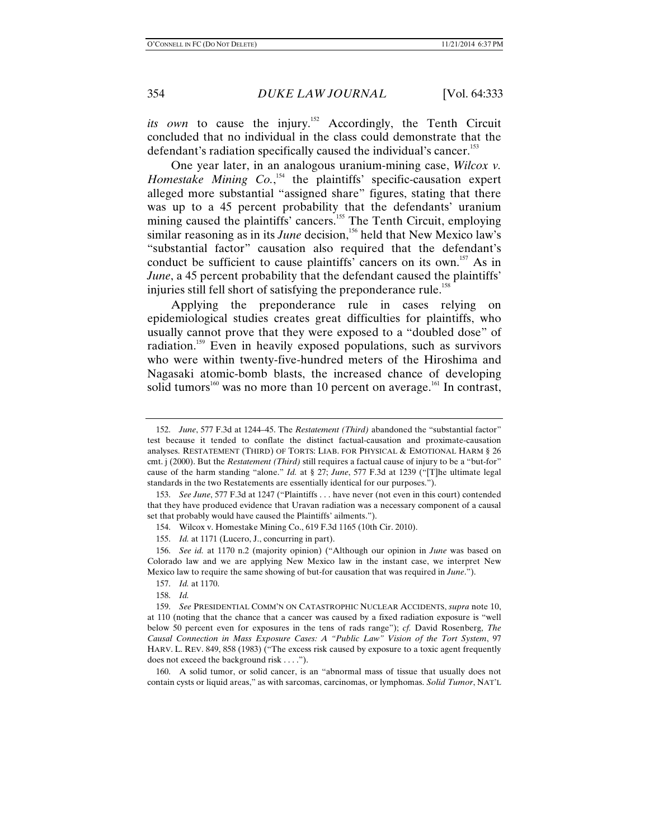*its own* to cause the injury.<sup>152</sup> Accordingly, the Tenth Circuit concluded that no individual in the class could demonstrate that the defendant's radiation specifically caused the individual's cancer.<sup>153</sup>

One year later, in an analogous uranium-mining case, *Wilcox v.*  Homestake Mining Co.,<sup>154</sup> the plaintiffs' specific-causation expert alleged more substantial "assigned share" figures, stating that there was up to a 45 percent probability that the defendants' uranium mining caused the plaintiffs' cancers.<sup>155</sup> The Tenth Circuit, employing similar reasoning as in its *June* decision,<sup>156</sup> held that New Mexico law's "substantial factor" causation also required that the defendant's conduct be sufficient to cause plaintiffs' cancers on its own.<sup>157</sup> As in *June*, a 45 percent probability that the defendant caused the plaintiffs' injuries still fell short of satisfying the preponderance rule.<sup>158</sup>

Applying the preponderance rule in cases relying on epidemiological studies creates great difficulties for plaintiffs, who usually cannot prove that they were exposed to a "doubled dose" of radiation.<sup>159</sup> Even in heavily exposed populations, such as survivors who were within twenty-five-hundred meters of the Hiroshima and Nagasaki atomic-bomb blasts, the increased chance of developing solid tumors<sup>160</sup> was no more than 10 percent on average.<sup>161</sup> In contrast,

 <sup>152.</sup> *June*, 577 F.3d at 1244–45. The *Restatement (Third)* abandoned the "substantial factor" test because it tended to conflate the distinct factual-causation and proximate-causation analyses. RESTATEMENT (THIRD) OF TORTS: LIAB. FOR PHYSICAL & EMOTIONAL HARM § 26 cmt. j (2000). But the *Restatement (Third)* still requires a factual cause of injury to be a "but-for" cause of the harm standing "alone." *Id.* at § 27; *June*, 577 F.3d at 1239 ("[T]he ultimate legal standards in the two Restatements are essentially identical for our purposes.").

 <sup>153.</sup> *See June*, 577 F.3d at 1247 ("Plaintiffs . . . have never (not even in this court) contended that they have produced evidence that Uravan radiation was a necessary component of a causal set that probably would have caused the Plaintiffs' ailments.").

 <sup>154.</sup> Wilcox v. Homestake Mining Co., 619 F.3d 1165 (10th Cir. 2010).

 <sup>155.</sup> *Id.* at 1171 (Lucero, J., concurring in part).

 <sup>156.</sup> *See id.* at 1170 n.2 (majority opinion) ("Although our opinion in *June* was based on Colorado law and we are applying New Mexico law in the instant case, we interpret New Mexico law to require the same showing of but-for causation that was required in *June*.").

 <sup>157.</sup> *Id.* at 1170.

 <sup>158.</sup> *Id.*

 <sup>159.</sup> *See* PRESIDENTIAL COMM'N ON CATASTROPHIC NUCLEAR ACCIDENTS, *supra* note 10, at 110 (noting that the chance that a cancer was caused by a fixed radiation exposure is "well below 50 percent even for exposures in the tens of rads range"); *cf.* David Rosenberg, *The Causal Connection in Mass Exposure Cases: A "Public Law" Vision of the Tort System*, 97 HARV. L. REV. 849, 858 (1983) ("The excess risk caused by exposure to a toxic agent frequently does not exceed the background risk . . . .").

 <sup>160.</sup> A solid tumor, or solid cancer, is an "abnormal mass of tissue that usually does not contain cysts or liquid areas," as with sarcomas, carcinomas, or lymphomas. *Solid Tumor*, NAT'L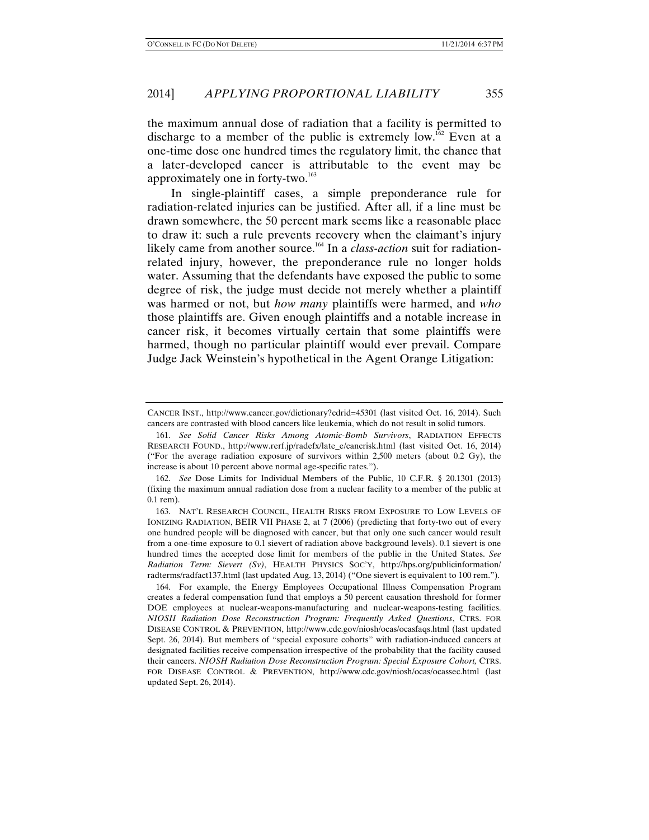the maximum annual dose of radiation that a facility is permitted to discharge to a member of the public is extremely  $\text{low}$ .<sup>162</sup> Even at a one-time dose one hundred times the regulatory limit, the chance that a later-developed cancer is attributable to the event may be approximately one in forty-two.<sup>163</sup>

In single-plaintiff cases, a simple preponderance rule for radiation-related injuries can be justified. After all, if a line must be drawn somewhere, the 50 percent mark seems like a reasonable place to draw it: such a rule prevents recovery when the claimant's injury likely came from another source.<sup>164</sup> In a *class-action* suit for radiationrelated injury, however, the preponderance rule no longer holds water. Assuming that the defendants have exposed the public to some degree of risk, the judge must decide not merely whether a plaintiff was harmed or not, but *how many* plaintiffs were harmed, and *who* those plaintiffs are. Given enough plaintiffs and a notable increase in cancer risk, it becomes virtually certain that some plaintiffs were harmed, though no particular plaintiff would ever prevail. Compare Judge Jack Weinstein's hypothetical in the Agent Orange Litigation:

CANCER INST., http://www.cancer.gov/dictionary?cdrid=45301 (last visited Oct. 16, 2014). Such cancers are contrasted with blood cancers like leukemia, which do not result in solid tumors.

 <sup>161.</sup> *See Solid Cancer Risks Among Atomic-Bomb Survivors*, RADIATION EFFECTS RESEARCH FOUND., http://www.rerf.jp/radefx/late\_e/cancrisk.html (last visited Oct. 16, 2014) ("For the average radiation exposure of survivors within  $2,500$  meters (about 0.2 Gy), the increase is about 10 percent above normal age-specific rates.").

 <sup>162.</sup> *See* Dose Limits for Individual Members of the Public, 10 C.F.R. § 20.1301 (2013) (fixing the maximum annual radiation dose from a nuclear facility to a member of the public at 0.1 rem).

 <sup>163.</sup> NAT'L RESEARCH COUNCIL, HEALTH RISKS FROM EXPOSURE TO LOW LEVELS OF IONIZING RADIATION, BEIR VII PHASE 2, at 7 (2006) (predicting that forty-two out of every one hundred people will be diagnosed with cancer, but that only one such cancer would result from a one-time exposure to 0.1 sievert of radiation above background levels). 0.1 sievert is one hundred times the accepted dose limit for members of the public in the United States. *See Radiation Term: Sievert (Sv)*, HEALTH PHYSICS SOC'Y, http://hps.org/publicinformation/ radterms/radfact137.html (last updated Aug. 13, 2014) ("One sievert is equivalent to 100 rem.").

 <sup>164.</sup> For example, the Energy Employees Occupational Illness Compensation Program creates a federal compensation fund that employs a 50 percent causation threshold for former DOE employees at nuclear-weapons-manufacturing and nuclear-weapons-testing facilities. *NIOSH Radiation Dose Reconstruction Program: Frequently Asked Questions*, CTRS. FOR DISEASE CONTROL & PREVENTION, http://www.cdc.gov/niosh/ocas/ocasfaqs.html (last updated Sept. 26, 2014). But members of "special exposure cohorts" with radiation-induced cancers at designated facilities receive compensation irrespective of the probability that the facility caused their cancers. *NIOSH Radiation Dose Reconstruction Program: Special Exposure Cohort,* CTRS. FOR DISEASE CONTROL & PREVENTION, http://www.cdc.gov/niosh/ocas/ocassec.html (last updated Sept. 26, 2014).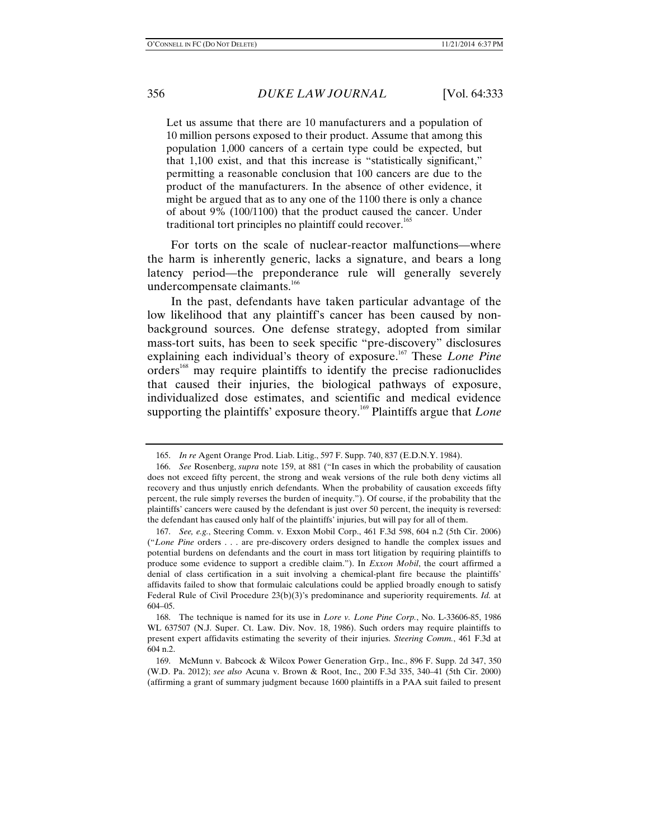Let us assume that there are 10 manufacturers and a population of 10 million persons exposed to their product. Assume that among this population 1,000 cancers of a certain type could be expected, but that 1,100 exist, and that this increase is "statistically significant," permitting a reasonable conclusion that 100 cancers are due to the product of the manufacturers. In the absence of other evidence, it might be argued that as to any one of the 1100 there is only a chance of about 9% (100/1100) that the product caused the cancer. Under traditional tort principles no plaintiff could recover.<sup>165</sup>

For torts on the scale of nuclear-reactor malfunctions—where the harm is inherently generic, lacks a signature, and bears a long latency period—the preponderance rule will generally severely undercompensate claimants.<sup>166</sup>

In the past, defendants have taken particular advantage of the low likelihood that any plaintiff's cancer has been caused by nonbackground sources. One defense strategy, adopted from similar mass-tort suits, has been to seek specific "pre-discovery" disclosures explaining each individual's theory of exposure.167 These *Lone Pine* orders<sup>168</sup> may require plaintiffs to identify the precise radionuclides that caused their injuries, the biological pathways of exposure, individualized dose estimates, and scientific and medical evidence supporting the plaintiffs' exposure theory.<sup>169</sup> Plaintiffs argue that *Lone* 

 <sup>165.</sup> *In re* Agent Orange Prod. Liab. Litig., 597 F. Supp. 740, 837 (E.D.N.Y. 1984).

 <sup>166.</sup> *See* Rosenberg, *supra* note 159, at 881 ("In cases in which the probability of causation does not exceed fifty percent, the strong and weak versions of the rule both deny victims all recovery and thus unjustly enrich defendants. When the probability of causation exceeds fifty percent, the rule simply reverses the burden of inequity."). Of course, if the probability that the plaintiffs' cancers were caused by the defendant is just over 50 percent, the inequity is reversed: the defendant has caused only half of the plaintiffs' injuries, but will pay for all of them.

 <sup>167.</sup> *See, e.g.*, Steering Comm. v. Exxon Mobil Corp., 461 F.3d 598, 604 n.2 (5th Cir. 2006) ("*Lone Pine* orders . . . are pre-discovery orders designed to handle the complex issues and potential burdens on defendants and the court in mass tort litigation by requiring plaintiffs to produce some evidence to support a credible claim."). In *Exxon Mobil*, the court affirmed a denial of class certification in a suit involving a chemical-plant fire because the plaintiffs' affidavits failed to show that formulaic calculations could be applied broadly enough to satisfy Federal Rule of Civil Procedure 23(b)(3)'s predominance and superiority requirements. *Id.* at 604–05.

 <sup>168.</sup> The technique is named for its use in *Lore v. Lone Pine Corp.*, No. L-33606-85, 1986 WL 637507 (N.J. Super. Ct. Law. Div. Nov. 18, 1986). Such orders may require plaintiffs to present expert affidavits estimating the severity of their injuries. *Steering Comm.*, 461 F.3d at 604 n.2.

 <sup>169.</sup> McMunn v. Babcock & Wilcox Power Generation Grp., Inc., 896 F. Supp. 2d 347, 350 (W.D. Pa. 2012); *see also* Acuna v. Brown & Root, Inc., 200 F.3d 335, 340–41 (5th Cir. 2000) (affirming a grant of summary judgment because 1600 plaintiffs in a PAA suit failed to present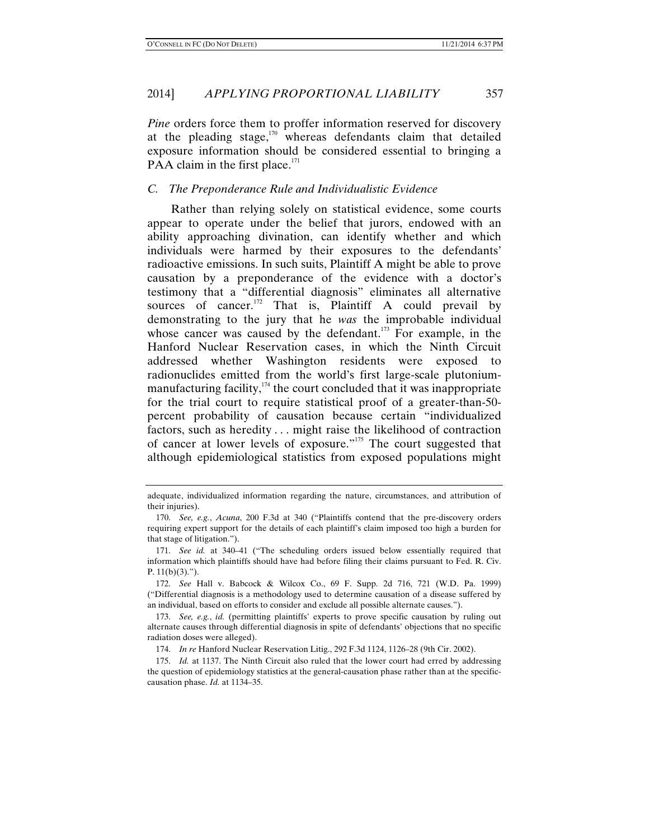*Pine* orders force them to proffer information reserved for discovery at the pleading stage, $170$  whereas defendants claim that detailed exposure information should be considered essential to bringing a PAA claim in the first place. $171$ 

## *C. The Preponderance Rule and Individualistic Evidence*

Rather than relying solely on statistical evidence, some courts appear to operate under the belief that jurors, endowed with an ability approaching divination, can identify whether and which individuals were harmed by their exposures to the defendants' radioactive emissions. In such suits, Plaintiff A might be able to prove causation by a preponderance of the evidence with a doctor's testimony that a "differential diagnosis" eliminates all alternative sources of cancer. $172$  That is, Plaintiff A could prevail by demonstrating to the jury that he *was* the improbable individual whose cancer was caused by the defendant.<sup>173</sup> For example, in the Hanford Nuclear Reservation cases, in which the Ninth Circuit addressed whether Washington residents were exposed to radionuclides emitted from the world's first large-scale plutoniummanufacturing facility, $174$  the court concluded that it was inappropriate for the trial court to require statistical proof of a greater-than-50 percent probability of causation because certain "individualized factors, such as heredity . . . might raise the likelihood of contraction of cancer at lower levels of exposure."<sup>175</sup> The court suggested that although epidemiological statistics from exposed populations might

adequate, individualized information regarding the nature, circumstances, and attribution of their injuries).

 <sup>170.</sup> *See, e.g.*, *Acuna*, 200 F.3d at 340 ("Plaintiffs contend that the pre-discovery orders requiring expert support for the details of each plaintiff's claim imposed too high a burden for that stage of litigation.").

 <sup>171.</sup> *See id.* at 340–41 ("The scheduling orders issued below essentially required that information which plaintiffs should have had before filing their claims pursuant to Fed. R. Civ. P.  $11(b)(3)$ .").

 <sup>172.</sup> *See* Hall v. Babcock & Wilcox Co., 69 F. Supp. 2d 716, 721 (W.D. Pa. 1999) ("Differential diagnosis is a methodology used to determine causation of a disease suffered by an individual, based on efforts to consider and exclude all possible alternate causes.").

 <sup>173.</sup> *See, e.g.*, *id.* (permitting plaintiffs' experts to prove specific causation by ruling out alternate causes through differential diagnosis in spite of defendants' objections that no specific radiation doses were alleged).

 <sup>174.</sup> *In re* Hanford Nuclear Reservation Litig., 292 F.3d 1124, 1126–28 (9th Cir. 2002).

 <sup>175.</sup> *Id.* at 1137. The Ninth Circuit also ruled that the lower court had erred by addressing the question of epidemiology statistics at the general-causation phase rather than at the specificcausation phase. *Id.* at 1134–35.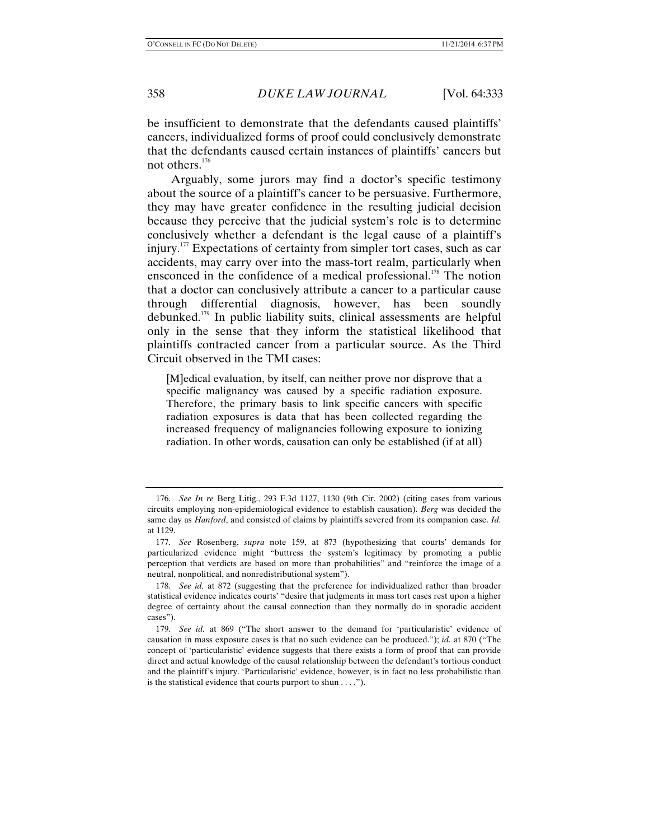be insufficient to demonstrate that the defendants caused plaintiffs' cancers, individualized forms of proof could conclusively demonstrate that the defendants caused certain instances of plaintiffs' cancers but not others.<sup>176</sup>

Arguably, some jurors may find a doctor's specific testimony about the source of a plaintiff's cancer to be persuasive. Furthermore, they may have greater confidence in the resulting judicial decision because they perceive that the judicial system's role is to determine conclusively whether a defendant is the legal cause of a plaintiff's injury.<sup>177</sup> Expectations of certainty from simpler tort cases, such as car accidents, may carry over into the mass-tort realm, particularly when ensconced in the confidence of a medical professional.<sup>178</sup> The notion that a doctor can conclusively attribute a cancer to a particular cause through differential diagnosis, however, has been soundly debunked.179 In public liability suits, clinical assessments are helpful only in the sense that they inform the statistical likelihood that plaintiffs contracted cancer from a particular source. As the Third Circuit observed in the TMI cases:

[M]edical evaluation, by itself, can neither prove nor disprove that a specific malignancy was caused by a specific radiation exposure. Therefore, the primary basis to link specific cancers with specific radiation exposures is data that has been collected regarding the increased frequency of malignancies following exposure to ionizing radiation. In other words, causation can only be established (if at all)

 <sup>176.</sup> *See In re* Berg Litig., 293 F.3d 1127, 1130 (9th Cir. 2002) (citing cases from various circuits employing non-epidemiological evidence to establish causation). *Berg* was decided the same day as *Hanford*, and consisted of claims by plaintiffs severed from its companion case. *Id.* at 1129.

 <sup>177.</sup> *See* Rosenberg, *supra* note 159, at 873 (hypothesizing that courts' demands for particularized evidence might "buttress the system's legitimacy by promoting a public perception that verdicts are based on more than probabilities" and "reinforce the image of a neutral, nonpolitical, and nonredistributional system").

 <sup>178.</sup> *See id.* at 872 (suggesting that the preference for individualized rather than broader statistical evidence indicates courts' "desire that judgments in mass tort cases rest upon a higher degree of certainty about the causal connection than they normally do in sporadic accident cases").

 <sup>179.</sup> *See id.* at 869 ("The short answer to the demand for 'particularistic' evidence of causation in mass exposure cases is that no such evidence can be produced."); *id.* at 870 ("The concept of 'particularistic' evidence suggests that there exists a form of proof that can provide direct and actual knowledge of the causal relationship between the defendant's tortious conduct and the plaintiff's injury. 'Particularistic' evidence, however, is in fact no less probabilistic than is the statistical evidence that courts purport to shun . . . .").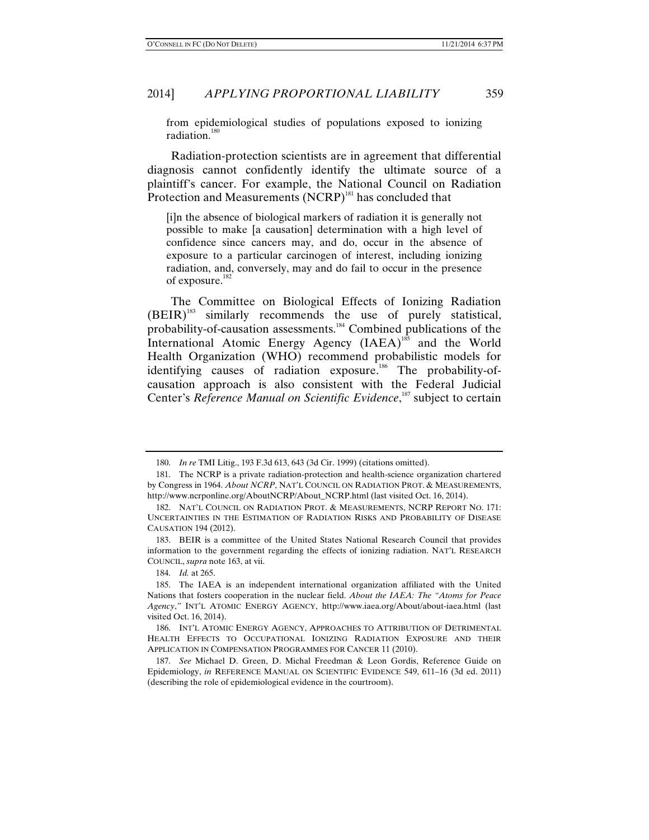from epidemiological studies of populations exposed to ionizing radiation. $180$ 

Radiation-protection scientists are in agreement that differential diagnosis cannot confidently identify the ultimate source of a plaintiff's cancer. For example, the National Council on Radiation Protection and Measurements (NCRP)<sup>181</sup> has concluded that

[i]n the absence of biological markers of radiation it is generally not possible to make [a causation] determination with a high level of confidence since cancers may, and do, occur in the absence of exposure to a particular carcinogen of interest, including ionizing radiation, and, conversely, may and do fail to occur in the presence of exposure.<sup>182</sup>

The Committee on Biological Effects of Ionizing Radiation (BEIR)<sup>183</sup> similarly recommends the use of purely statistical, probability-of-causation assessments.184 Combined publications of the International Atomic Energy Agency  $(IAEA)^{185}$  and the World Health Organization (WHO) recommend probabilistic models for identifying causes of radiation exposure.<sup>186</sup> The probability-ofcausation approach is also consistent with the Federal Judicial Center's *Reference Manual on Scientific Evidence*,<sup>187</sup> subject to certain

 <sup>180.</sup> *In re* TMI Litig., 193 F.3d 613, 643 (3d Cir. 1999) (citations omitted).

 <sup>181.</sup> The NCRP is a private radiation-protection and health-science organization chartered by Congress in 1964. *About NCRP*, NAT'L COUNCIL ON RADIATION PROT. & MEASUREMENTS, http://www.ncrponline.org/AboutNCRP/About\_NCRP.html (last visited Oct. 16, 2014).

 <sup>182.</sup> NAT'L COUNCIL ON RADIATION PROT. & MEASUREMENTS, NCRP REPORT NO. 171: UNCERTAINTIES IN THE ESTIMATION OF RADIATION RISKS AND PROBABILITY OF DISEASE CAUSATION 194 (2012).

 <sup>183.</sup> BEIR is a committee of the United States National Research Council that provides information to the government regarding the effects of ionizing radiation. NAT'L RESEARCH COUNCIL, *supra* note 163, at vii.

 <sup>184.</sup> *Id.* at 265.

 <sup>185.</sup> The IAEA is an independent international organization affiliated with the United Nations that fosters cooperation in the nuclear field. *About the IAEA: The "Atoms for Peace Agency*,*"* INT'L ATOMIC ENERGY AGENCY, http://www.iaea.org/About/about-iaea.html (last visited Oct. 16, 2014).

 <sup>186.</sup> INT'L ATOMIC ENERGY AGENCY, APPROACHES TO ATTRIBUTION OF DETRIMENTAL HEALTH EFFECTS TO OCCUPATIONAL IONIZING RADIATION EXPOSURE AND THEIR APPLICATION IN COMPENSATION PROGRAMMES FOR CANCER 11 (2010).

 <sup>187.</sup> *See* Michael D. Green, D. Michal Freedman & Leon Gordis, Reference Guide on Epidemiology, *in* REFERENCE MANUAL ON SCIENTIFIC EVIDENCE 549, 611–16 (3d ed. 2011) (describing the role of epidemiological evidence in the courtroom).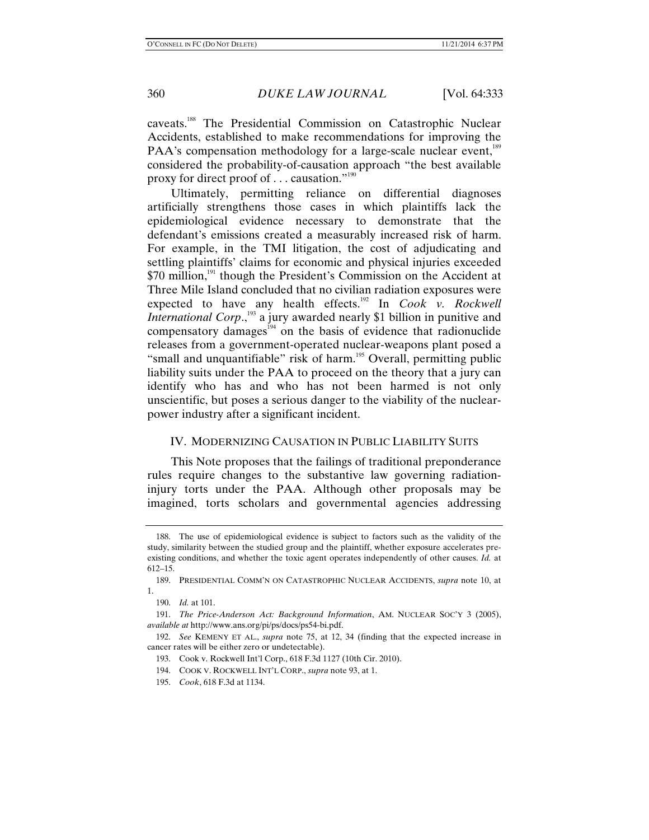caveats.188 The Presidential Commission on Catastrophic Nuclear Accidents, established to make recommendations for improving the PAA's compensation methodology for a large-scale nuclear event,<sup>189</sup> considered the probability-of-causation approach "the best available proxy for direct proof of . . . causation."190

Ultimately, permitting reliance on differential diagnoses artificially strengthens those cases in which plaintiffs lack the epidemiological evidence necessary to demonstrate that the defendant's emissions created a measurably increased risk of harm. For example, in the TMI litigation, the cost of adjudicating and settling plaintiffs' claims for economic and physical injuries exceeded  $$70$  million,<sup>191</sup> though the President's Commission on the Accident at Three Mile Island concluded that no civilian radiation exposures were expected to have any health effects.<sup>192</sup> In *Cook v. Rockwell International Corp*.,<sup>193</sup> a jury awarded nearly \$1 billion in punitive and compensatory damages<sup> $194$ </sup> on the basis of evidence that radionuclide releases from a government-operated nuclear-weapons plant posed a "small and unquantifiable" risk of harm.<sup>195</sup> Overall, permitting public liability suits under the PAA to proceed on the theory that a jury can identify who has and who has not been harmed is not only unscientific, but poses a serious danger to the viability of the nuclearpower industry after a significant incident.

#### IV. MODERNIZING CAUSATION IN PUBLIC LIABILITY SUITS

This Note proposes that the failings of traditional preponderance rules require changes to the substantive law governing radiationinjury torts under the PAA. Although other proposals may be imagined, torts scholars and governmental agencies addressing

 <sup>188.</sup> The use of epidemiological evidence is subject to factors such as the validity of the study, similarity between the studied group and the plaintiff, whether exposure accelerates preexisting conditions, and whether the toxic agent operates independently of other causes. *Id.* at 612–15.

 <sup>189.</sup> PRESIDENTIAL COMM'N ON CATASTROPHIC NUCLEAR ACCIDENTS, *supra* note 10, at 1.

 <sup>190.</sup> *Id.* at 101.

 <sup>191.</sup> *The Price-Anderson Act: Background Information*, AM. NUCLEAR SOC'Y 3 (2005), *available at* http://www.ans.org/pi/ps/docs/ps54-bi.pdf.

 <sup>192.</sup> *See* KEMENY ET AL., *supra* note 75, at 12, 34 (finding that the expected increase in cancer rates will be either zero or undetectable).

 <sup>193.</sup> Cook v. Rockwell Int'l Corp., 618 F.3d 1127 (10th Cir. 2010).

 <sup>194.</sup> COOK V. ROCKWELL INT'L CORP., *supra* note 93, at 1.

 <sup>195.</sup> *Cook*, 618 F.3d at 1134.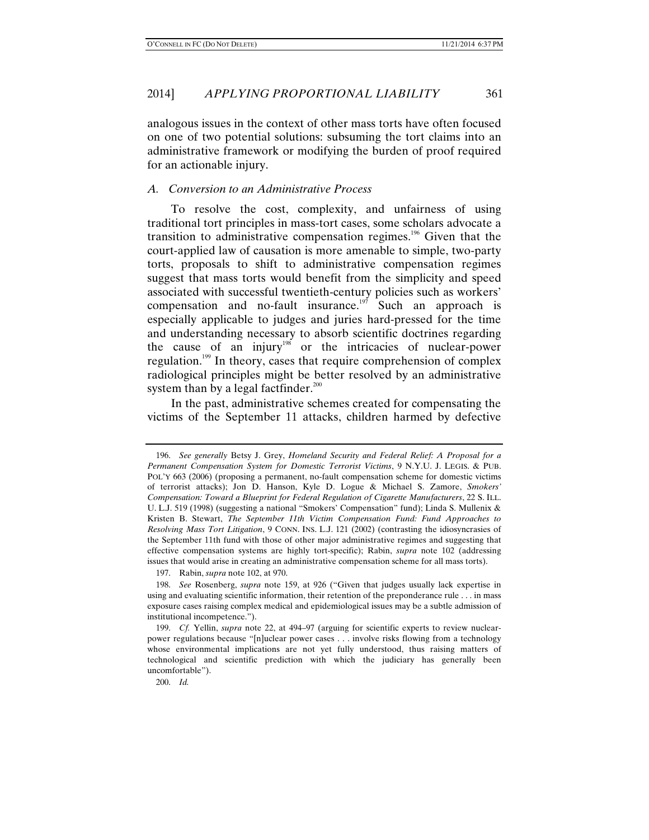analogous issues in the context of other mass torts have often focused on one of two potential solutions: subsuming the tort claims into an administrative framework or modifying the burden of proof required for an actionable injury.

#### *A. Conversion to an Administrative Process*

To resolve the cost, complexity, and unfairness of using traditional tort principles in mass-tort cases, some scholars advocate a transition to administrative compensation regimes.<sup>196</sup> Given that the court-applied law of causation is more amenable to simple, two-party torts, proposals to shift to administrative compensation regimes suggest that mass torts would benefit from the simplicity and speed associated with successful twentieth-century policies such as workers' compensation and no-fault insurance.<sup>197</sup> Such an approach is especially applicable to judges and juries hard-pressed for the time and understanding necessary to absorb scientific doctrines regarding the cause of an injury<sup>198</sup> or the intricacies of nuclear-power regulation.199 In theory, cases that require comprehension of complex radiological principles might be better resolved by an administrative system than by a legal factfinder. $200$ 

In the past, administrative schemes created for compensating the victims of the September 11 attacks, children harmed by defective

200. *Id.*

 <sup>196.</sup> *See generally* Betsy J. Grey, *Homeland Security and Federal Relief: A Proposal for a Permanent Compensation System for Domestic Terrorist Victims*, 9 N.Y.U. J. LEGIS. & PUB. POL'Y 663 (2006) (proposing a permanent, no-fault compensation scheme for domestic victims of terrorist attacks); Jon D. Hanson, Kyle D. Logue & Michael S. Zamore, *Smokers' Compensation: Toward a Blueprint for Federal Regulation of Cigarette Manufacturers*, 22 S. ILL. U. L.J. 519 (1998) (suggesting a national "Smokers' Compensation" fund); Linda S. Mullenix & Kristen B. Stewart, *The September 11th Victim Compensation Fund: Fund Approaches to Resolving Mass Tort Litigation*, 9 CONN. INS. L.J. 121 (2002) (contrasting the idiosyncrasies of the September 11th fund with those of other major administrative regimes and suggesting that effective compensation systems are highly tort-specific); Rabin, *supra* note 102 (addressing issues that would arise in creating an administrative compensation scheme for all mass torts).

 <sup>197.</sup> Rabin, *supra* note 102, at 970.

 <sup>198.</sup> *See* Rosenberg, *supra* note 159, at 926 ("Given that judges usually lack expertise in using and evaluating scientific information, their retention of the preponderance rule . . . in mass exposure cases raising complex medical and epidemiological issues may be a subtle admission of institutional incompetence.").

 <sup>199.</sup> *Cf.* Yellin, *supra* note 22, at 494–97 (arguing for scientific experts to review nuclearpower regulations because "[n]uclear power cases . . . involve risks flowing from a technology whose environmental implications are not yet fully understood, thus raising matters of technological and scientific prediction with which the judiciary has generally been uncomfortable").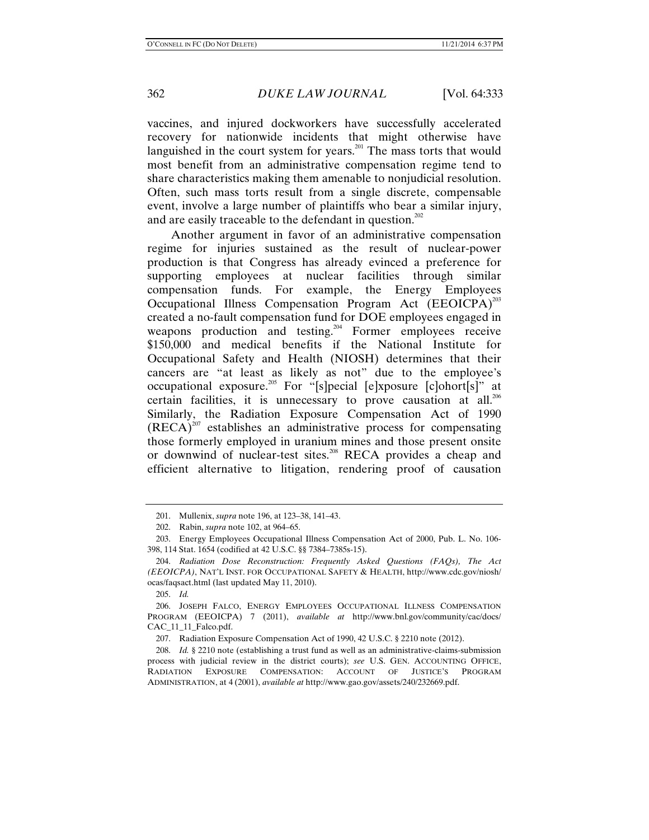vaccines, and injured dockworkers have successfully accelerated recovery for nationwide incidents that might otherwise have languished in the court system for years.<sup>201</sup> The mass torts that would most benefit from an administrative compensation regime tend to share characteristics making them amenable to nonjudicial resolution. Often, such mass torts result from a single discrete, compensable event, involve a large number of plaintiffs who bear a similar injury, and are easily traceable to the defendant in question.<sup>202</sup>

Another argument in favor of an administrative compensation regime for injuries sustained as the result of nuclear-power production is that Congress has already evinced a preference for supporting employees at nuclear facilities through similar compensation funds. For example, the Energy Employees Occupational Illness Compensation Program Act  $(EEOICPA)^{203}$ created a no-fault compensation fund for DOE employees engaged in weapons production and testing.<sup>204</sup> Former employees receive \$150,000 and medical benefits if the National Institute for Occupational Safety and Health (NIOSH) determines that their cancers are "at least as likely as not" due to the employee's occupational exposure.205 For "[s]pecial [e]xposure [c]ohort[s]" at certain facilities, it is unnecessary to prove causation at all.<sup>206</sup> Similarly, the Radiation Exposure Compensation Act of 1990  $(RECA)^{207}$  establishes an administrative process for compensating those formerly employed in uranium mines and those present onsite or downwind of nuclear-test sites.<sup>208</sup> RECA provides a cheap and efficient alternative to litigation, rendering proof of causation

205. *Id.*

 <sup>201.</sup> Mullenix, *supra* note 196, at 123–38, 141–43.

 <sup>202.</sup> Rabin, *supra* note 102, at 964–65.

 <sup>203.</sup> Energy Employees Occupational Illness Compensation Act of 2000, Pub. L. No. 106- 398, 114 Stat. 1654 (codified at 42 U.S.C. §§ 7384–7385s-15).

 <sup>204.</sup> *Radiation Dose Reconstruction: Frequently Asked Questions (FAQs), The Act (EEOICPA)*, NAT'L INST. FOR OCCUPATIONAL SAFETY & HEALTH, http://www.cdc.gov/niosh/ ocas/faqsact.html (last updated May 11, 2010).

 <sup>206.</sup> JOSEPH FALCO, ENERGY EMPLOYEES OCCUPATIONAL ILLNESS COMPENSATION PROGRAM (EEOICPA) 7 (2011), *available at* http://www.bnl.gov/community/cac/docs/ CAC\_11\_11\_Falco.pdf.

 <sup>207.</sup> Radiation Exposure Compensation Act of 1990, 42 U.S.C. § 2210 note (2012).

 <sup>208.</sup> *Id.* § 2210 note (establishing a trust fund as well as an administrative-claims-submission process with judicial review in the district courts); *see* U.S. GEN. ACCOUNTING OFFICE, RADIATION EXPOSURE COMPENSATION: ACCOUNT OF JUSTICE'S PROGRAM ADMINISTRATION, at 4 (2001), *available at* http://www.gao.gov/assets/240/232669.pdf.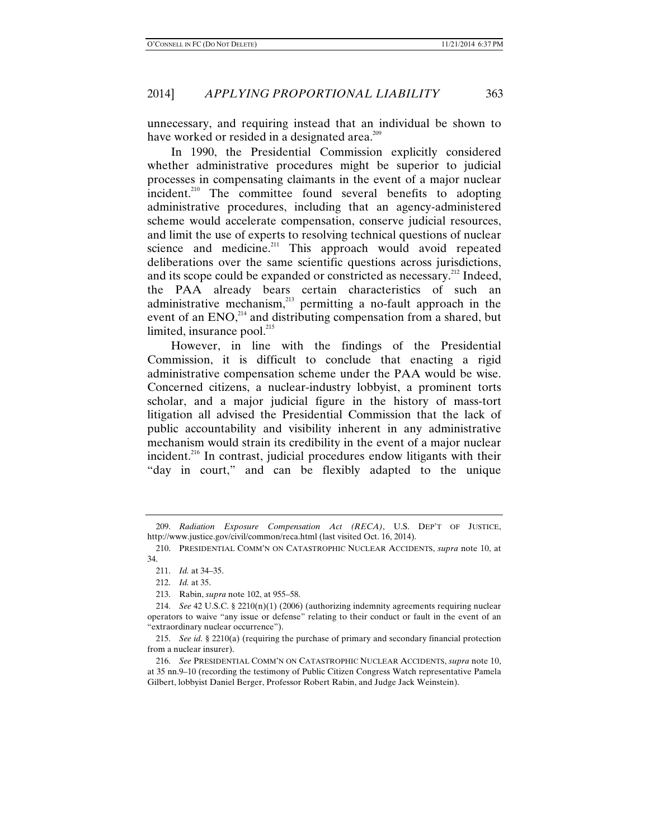unnecessary, and requiring instead that an individual be shown to have worked or resided in a designated area.<sup>209</sup>

In 1990, the Presidential Commission explicitly considered whether administrative procedures might be superior to judicial processes in compensating claimants in the event of a major nuclear incident.<sup>210</sup> The committee found several benefits to adopting administrative procedures, including that an agency-administered scheme would accelerate compensation, conserve judicial resources, and limit the use of experts to resolving technical questions of nuclear science and medicine.<sup>211</sup> This approach would avoid repeated deliberations over the same scientific questions across jurisdictions, and its scope could be expanded or constricted as necessary.<sup>212</sup> Indeed, the PAA already bears certain characteristics of such an administrative mechanism, $^{213}$  permitting a no-fault approach in the event of an  $ENO<sub>14</sub><sup>214</sup>$  and distributing compensation from a shared, but limited, insurance pool. $^{215}$ 

However, in line with the findings of the Presidential Commission, it is difficult to conclude that enacting a rigid administrative compensation scheme under the PAA would be wise. Concerned citizens, a nuclear-industry lobbyist, a prominent torts scholar, and a major judicial figure in the history of mass-tort litigation all advised the Presidential Commission that the lack of public accountability and visibility inherent in any administrative mechanism would strain its credibility in the event of a major nuclear incident.<sup>216</sup> In contrast, judicial procedures endow litigants with their "day in court," and can be flexibly adapted to the unique

 <sup>209.</sup> *Radiation Exposure Compensation Act (RECA)*, U.S. DEP'T OF JUSTICE, http://www.justice.gov/civil/common/reca.html (last visited Oct. 16, 2014).

 <sup>210.</sup> PRESIDENTIAL COMM'N ON CATASTROPHIC NUCLEAR ACCIDENTS, *supra* note 10, at 34.

 <sup>211.</sup> *Id.* at 34–35.

 <sup>212.</sup> *Id.* at 35.

 <sup>213.</sup> Rabin, *supra* note 102, at 955–58.

 <sup>214.</sup> *See* 42 U.S.C. § 2210(n)(1) (2006) (authorizing indemnity agreements requiring nuclear operators to waive "any issue or defense" relating to their conduct or fault in the event of an "extraordinary nuclear occurrence").

 <sup>215.</sup> *See id.* § 2210(a) (requiring the purchase of primary and secondary financial protection from a nuclear insurer).

 <sup>216.</sup> *See* PRESIDENTIAL COMM'N ON CATASTROPHIC NUCLEAR ACCIDENTS, *supra* note 10, at 35 nn.9–10 (recording the testimony of Public Citizen Congress Watch representative Pamela Gilbert, lobbyist Daniel Berger, Professor Robert Rabin, and Judge Jack Weinstein).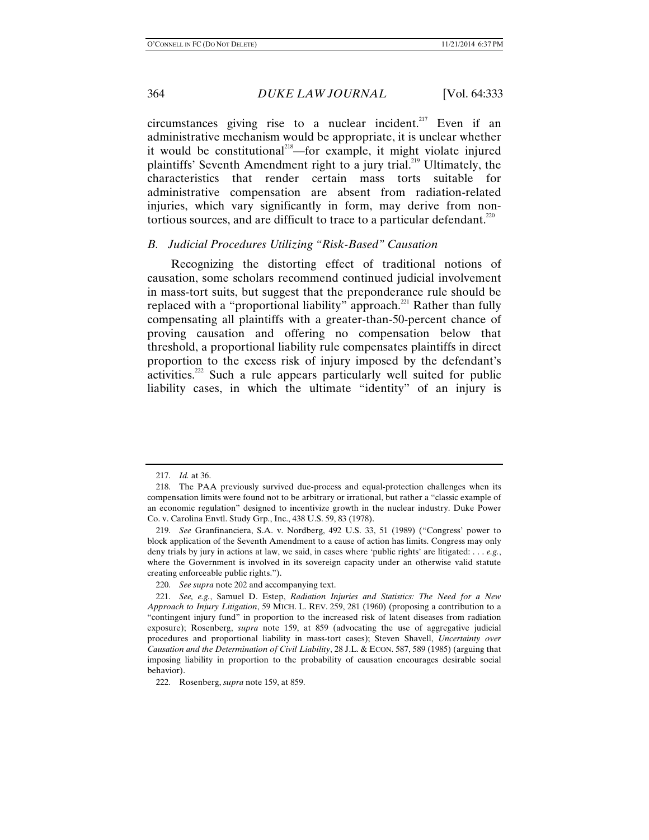circumstances giving rise to a nuclear incident.<sup>217</sup> Even if an administrative mechanism would be appropriate, it is unclear whether it would be constitutional<sup>218</sup>—for example, it might violate injured plaintiffs' Seventh Amendment right to a jury trial.<sup>219</sup> Ultimately, the characteristics that render certain mass torts suitable for administrative compensation are absent from radiation-related injuries, which vary significantly in form, may derive from nontortious sources, and are difficult to trace to a particular defendant. $220$ 

## *B. Judicial Procedures Utilizing "Risk-Based" Causation*

Recognizing the distorting effect of traditional notions of causation, some scholars recommend continued judicial involvement in mass-tort suits, but suggest that the preponderance rule should be replaced with a "proportional liability" approach.<sup>221</sup> Rather than fully compensating all plaintiffs with a greater-than-50-percent chance of proving causation and offering no compensation below that threshold, a proportional liability rule compensates plaintiffs in direct proportion to the excess risk of injury imposed by the defendant's activities.<sup>222</sup> Such a rule appears particularly well suited for public liability cases, in which the ultimate "identity" of an injury is

 <sup>217.</sup> *Id.* at 36.

 <sup>218.</sup> The PAA previously survived due-process and equal-protection challenges when its compensation limits were found not to be arbitrary or irrational, but rather a "classic example of an economic regulation" designed to incentivize growth in the nuclear industry. Duke Power Co. v. Carolina Envtl. Study Grp., Inc., 438 U.S. 59, 83 (1978).

 <sup>219.</sup> *See* Granfinanciera, S.A. v. Nordberg, 492 U.S. 33, 51 (1989) ("Congress' power to block application of the Seventh Amendment to a cause of action has limits. Congress may only deny trials by jury in actions at law, we said, in cases where 'public rights' are litigated: . . . *e.g.*, where the Government is involved in its sovereign capacity under an otherwise valid statute creating enforceable public rights.").

 <sup>220.</sup> *See supra* note 202 and accompanying text.

 <sup>221.</sup> *See, e.g.*, Samuel D. Estep, *Radiation Injuries and Statistics: The Need for a New Approach to Injury Litigation*, 59 MICH. L. REV. 259, 281 (1960) (proposing a contribution to a "contingent injury fund" in proportion to the increased risk of latent diseases from radiation exposure); Rosenberg, *supra* note 159, at 859 (advocating the use of aggregative judicial procedures and proportional liability in mass-tort cases); Steven Shavell, *Uncertainty over Causation and the Determination of Civil Liability*, 28 J.L. & ECON. 587, 589 (1985) (arguing that imposing liability in proportion to the probability of causation encourages desirable social behavior).

 <sup>222.</sup> Rosenberg, *supra* note 159, at 859.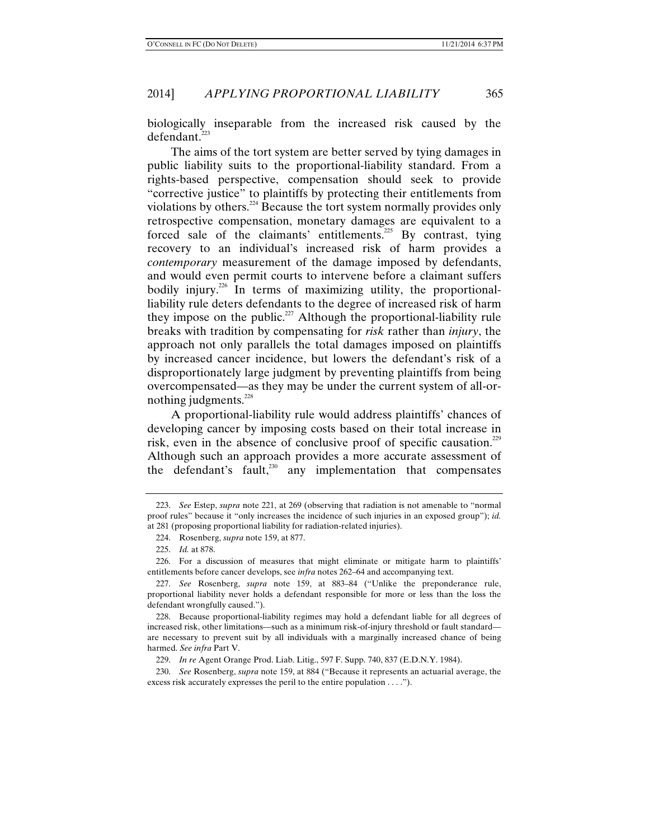biologically inseparable from the increased risk caused by the defendant.<sup>223</sup>

The aims of the tort system are better served by tying damages in public liability suits to the proportional-liability standard. From a rights-based perspective, compensation should seek to provide "corrective justice" to plaintiffs by protecting their entitlements from violations by others.<sup>224</sup> Because the tort system normally provides only retrospective compensation, monetary damages are equivalent to a forced sale of the claimants' entitlements.<sup>225</sup> By contrast, tying recovery to an individual's increased risk of harm provides a *contemporary* measurement of the damage imposed by defendants, and would even permit courts to intervene before a claimant suffers bodily injury.<sup>226</sup> In terms of maximizing utility, the proportionalliability rule deters defendants to the degree of increased risk of harm they impose on the public.<sup>227</sup> Although the proportional-liability rule breaks with tradition by compensating for *risk* rather than *injury*, the approach not only parallels the total damages imposed on plaintiffs by increased cancer incidence, but lowers the defendant's risk of a disproportionately large judgment by preventing plaintiffs from being overcompensated—as they may be under the current system of all-ornothing judgments. $^{228}$ 

A proportional-liability rule would address plaintiffs' chances of developing cancer by imposing costs based on their total increase in risk, even in the absence of conclusive proof of specific causation.<sup>229</sup> Although such an approach provides a more accurate assessment of the defendant's fault, $^{230}$  any implementation that compensates

 <sup>223.</sup> *See* Estep, *supra* note 221, at 269 (observing that radiation is not amenable to "normal proof rules" because it "only increases the incidence of such injuries in an exposed group"); *id.* at 281 (proposing proportional liability for radiation-related injuries).

 <sup>224.</sup> Rosenberg, *supra* note 159, at 877.

 <sup>225.</sup> *Id.* at 878.

 <sup>226.</sup> For a discussion of measures that might eliminate or mitigate harm to plaintiffs' entitlements before cancer develops, see *infra* notes 262–64 and accompanying text.

 <sup>227.</sup> *See* Rosenberg, *supra* note 159, at 883–84 ("Unlike the preponderance rule, proportional liability never holds a defendant responsible for more or less than the loss the defendant wrongfully caused.").

 <sup>228.</sup> Because proportional-liability regimes may hold a defendant liable for all degrees of increased risk, other limitations—such as a minimum risk-of-injury threshold or fault standard are necessary to prevent suit by all individuals with a marginally increased chance of being harmed. *See infra* Part V.

 <sup>229.</sup> *In re* Agent Orange Prod. Liab. Litig., 597 F. Supp. 740, 837 (E.D.N.Y. 1984).

 <sup>230.</sup> *See* Rosenberg, *supra* note 159, at 884 ("Because it represents an actuarial average, the excess risk accurately expresses the peril to the entire population . . . .").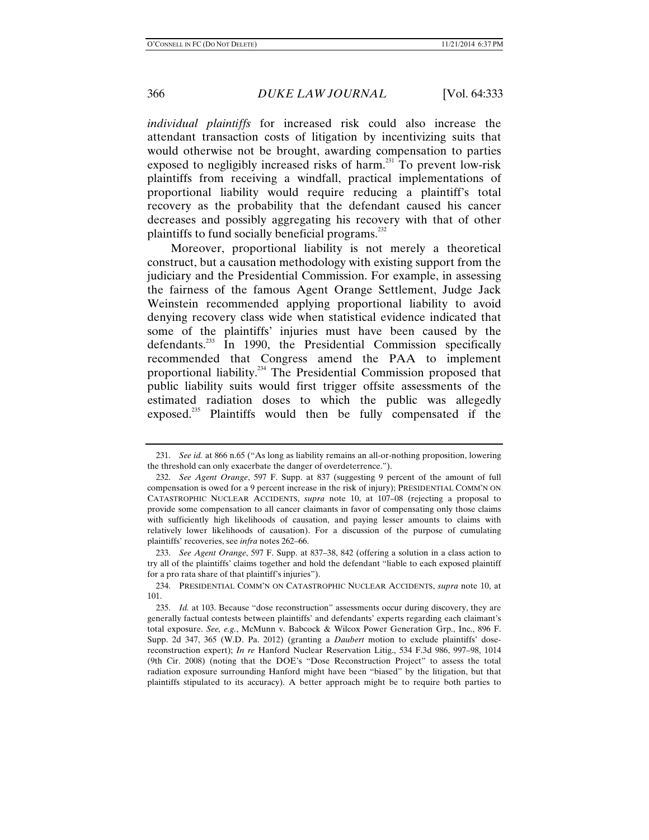*individual plaintiffs* for increased risk could also increase the attendant transaction costs of litigation by incentivizing suits that would otherwise not be brought, awarding compensation to parties exposed to negligibly increased risks of harm.231 To prevent low-risk plaintiffs from receiving a windfall, practical implementations of proportional liability would require reducing a plaintiff's total recovery as the probability that the defendant caused his cancer decreases and possibly aggregating his recovery with that of other plaintiffs to fund socially beneficial programs.<sup>232</sup>

Moreover, proportional liability is not merely a theoretical construct, but a causation methodology with existing support from the judiciary and the Presidential Commission. For example, in assessing the fairness of the famous Agent Orange Settlement, Judge Jack Weinstein recommended applying proportional liability to avoid denying recovery class wide when statistical evidence indicated that some of the plaintiffs' injuries must have been caused by the defendants.<sup>233</sup> In 1990, the Presidential Commission specifically recommended that Congress amend the PAA to implement proportional liability.234 The Presidential Commission proposed that public liability suits would first trigger offsite assessments of the estimated radiation doses to which the public was allegedly exposed.<sup>235</sup> Plaintiffs would then be fully compensated if the

 <sup>231.</sup> *See id.* at 866 n.65 ("As long as liability remains an all-or-nothing proposition, lowering the threshold can only exacerbate the danger of overdeterrence.").

 <sup>232.</sup> *See Agent Orange*, 597 F. Supp. at 837 (suggesting 9 percent of the amount of full compensation is owed for a 9 percent increase in the risk of injury); PRESIDENTIAL COMM'N ON CATASTROPHIC NUCLEAR ACCIDENTS, *supra* note 10, at 107–08 (rejecting a proposal to provide some compensation to all cancer claimants in favor of compensating only those claims with sufficiently high likelihoods of causation, and paying lesser amounts to claims with relatively lower likelihoods of causation). For a discussion of the purpose of cumulating plaintiffs' recoveries, see *infra* notes 262–66.

 <sup>233.</sup> *See Agent Orange*, 597 F. Supp. at 837–38, 842 (offering a solution in a class action to try all of the plaintiffs' claims together and hold the defendant "liable to each exposed plaintiff for a pro rata share of that plaintiff's injuries").

 <sup>234.</sup> PRESIDENTIAL COMM'N ON CATASTROPHIC NUCLEAR ACCIDENTS, *supra* note 10, at 101.

 <sup>235.</sup> *Id.* at 103. Because "dose reconstruction" assessments occur during discovery, they are generally factual contests between plaintiffs' and defendants' experts regarding each claimant's total exposure. *See, e.g.*, McMunn v. Babcock & Wilcox Power Generation Grp., Inc., 896 F. Supp. 2d 347, 365 (W.D. Pa. 2012) (granting a *Daubert* motion to exclude plaintiffs' dosereconstruction expert); *In re* Hanford Nuclear Reservation Litig., 534 F.3d 986, 997–98, 1014 (9th Cir. 2008) (noting that the DOE's "Dose Reconstruction Project" to assess the total radiation exposure surrounding Hanford might have been "biased" by the litigation, but that plaintiffs stipulated to its accuracy). A better approach might be to require both parties to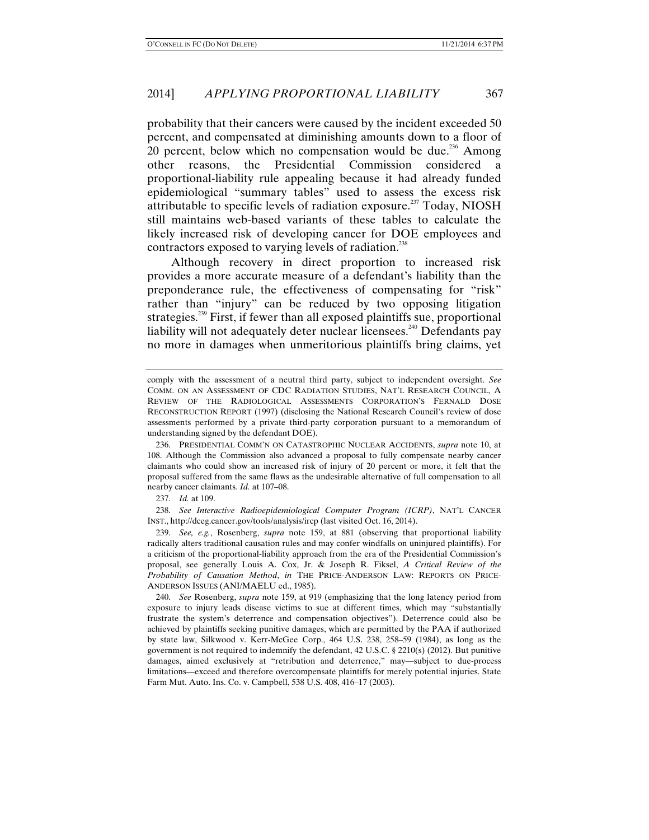probability that their cancers were caused by the incident exceeded 50 percent, and compensated at diminishing amounts down to a floor of 20 percent, below which no compensation would be due.<sup>236</sup> Among other reasons, the Presidential Commission considered a proportional-liability rule appealing because it had already funded epidemiological "summary tables" used to assess the excess risk attributable to specific levels of radiation exposure.<sup>237</sup> Today, NIOSH still maintains web-based variants of these tables to calculate the likely increased risk of developing cancer for DOE employees and contractors exposed to varying levels of radiation.<sup>238</sup>

Although recovery in direct proportion to increased risk provides a more accurate measure of a defendant's liability than the preponderance rule, the effectiveness of compensating for "risk" rather than "injury" can be reduced by two opposing litigation strategies.<sup>239</sup> First, if fewer than all exposed plaintiffs sue, proportional liability will not adequately deter nuclear licensees.<sup>240</sup> Defendants pay no more in damages when unmeritorious plaintiffs bring claims, yet

237. *Id.* at 109.

 238. *See Interactive Radioepidemiological Computer Program (ICRP)*, NAT'L CANCER INST., http://dceg.cancer.gov/tools/analysis/ircp (last visited Oct. 16, 2014).

 239. *See, e.g.*, Rosenberg, *supra* note 159, at 881 (observing that proportional liability radically alters traditional causation rules and may confer windfalls on uninjured plaintiffs). For a criticism of the proportional-liability approach from the era of the Presidential Commission's proposal, see generally Louis A. Cox, Jr. & Joseph R. Fiksel, *A Critical Review of the Probability of Causation Method*, *in* THE PRICE-ANDERSON LAW: REPORTS ON PRICE-ANDERSON ISSUES (ANI/MAELU ed., 1985).

 240. *See* Rosenberg, *supra* note 159, at 919 (emphasizing that the long latency period from exposure to injury leads disease victims to sue at different times, which may "substantially frustrate the system's deterrence and compensation objectives"). Deterrence could also be achieved by plaintiffs seeking punitive damages, which are permitted by the PAA if authorized by state law, Silkwood v. Kerr-McGee Corp., 464 U.S. 238, 258–59 (1984), as long as the government is not required to indemnify the defendant, 42 U.S.C. § 2210(s) (2012). But punitive damages, aimed exclusively at "retribution and deterrence," may—subject to due-process limitations—exceed and therefore overcompensate plaintiffs for merely potential injuries. State Farm Mut. Auto. Ins. Co. v. Campbell, 538 U.S. 408, 416–17 (2003).

comply with the assessment of a neutral third party, subject to independent oversight. *See* COMM. ON AN ASSESSMENT OF CDC RADIATION STUDIES, NAT'L RESEARCH COUNCIL, A REVIEW OF THE RADIOLOGICAL ASSESSMENTS CORPORATION'S FERNALD DOSE RECONSTRUCTION REPORT (1997) (disclosing the National Research Council's review of dose assessments performed by a private third-party corporation pursuant to a memorandum of understanding signed by the defendant DOE).

 <sup>236.</sup> PRESIDENTIAL COMM'N ON CATASTROPHIC NUCLEAR ACCIDENTS, *supra* note 10, at 108. Although the Commission also advanced a proposal to fully compensate nearby cancer claimants who could show an increased risk of injury of 20 percent or more, it felt that the proposal suffered from the same flaws as the undesirable alternative of full compensation to all nearby cancer claimants. *Id.* at 107–08.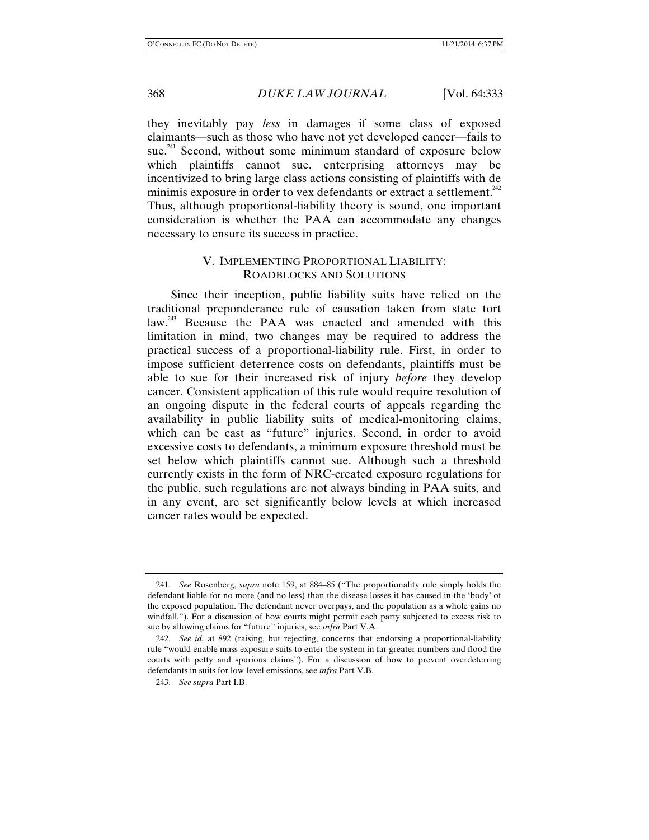they inevitably pay *less* in damages if some class of exposed claimants—such as those who have not yet developed cancer—fails to sue.<sup>241</sup> Second, without some minimum standard of exposure below which plaintiffs cannot sue, enterprising attorneys may be incentivized to bring large class actions consisting of plaintiffs with de minimis exposure in order to vex defendants or extract a settlement. $^{242}$ Thus, although proportional-liability theory is sound, one important consideration is whether the PAA can accommodate any changes necessary to ensure its success in practice.

# V. IMPLEMENTING PROPORTIONAL LIABILITY: ROADBLOCKS AND SOLUTIONS

Since their inception, public liability suits have relied on the traditional preponderance rule of causation taken from state tort law.<sup>243</sup> Because the PAA was enacted and amended with this limitation in mind, two changes may be required to address the practical success of a proportional-liability rule. First, in order to impose sufficient deterrence costs on defendants, plaintiffs must be able to sue for their increased risk of injury *before* they develop cancer. Consistent application of this rule would require resolution of an ongoing dispute in the federal courts of appeals regarding the availability in public liability suits of medical-monitoring claims, which can be cast as "future" injuries. Second, in order to avoid excessive costs to defendants, a minimum exposure threshold must be set below which plaintiffs cannot sue. Although such a threshold currently exists in the form of NRC-created exposure regulations for the public, such regulations are not always binding in PAA suits, and in any event, are set significantly below levels at which increased cancer rates would be expected.

 <sup>241.</sup> *See* Rosenberg, *supra* note 159, at 884–85 ("The proportionality rule simply holds the defendant liable for no more (and no less) than the disease losses it has caused in the 'body' of the exposed population. The defendant never overpays, and the population as a whole gains no windfall."). For a discussion of how courts might permit each party subjected to excess risk to sue by allowing claims for "future" injuries, see *infra* Part V.A.

 <sup>242.</sup> *See id.* at 892 (raising, but rejecting, concerns that endorsing a proportional-liability rule "would enable mass exposure suits to enter the system in far greater numbers and flood the courts with petty and spurious claims"). For a discussion of how to prevent overdeterring defendants in suits for low-level emissions, see *infra* Part V.B.

 <sup>243.</sup> *See supra* Part I.B.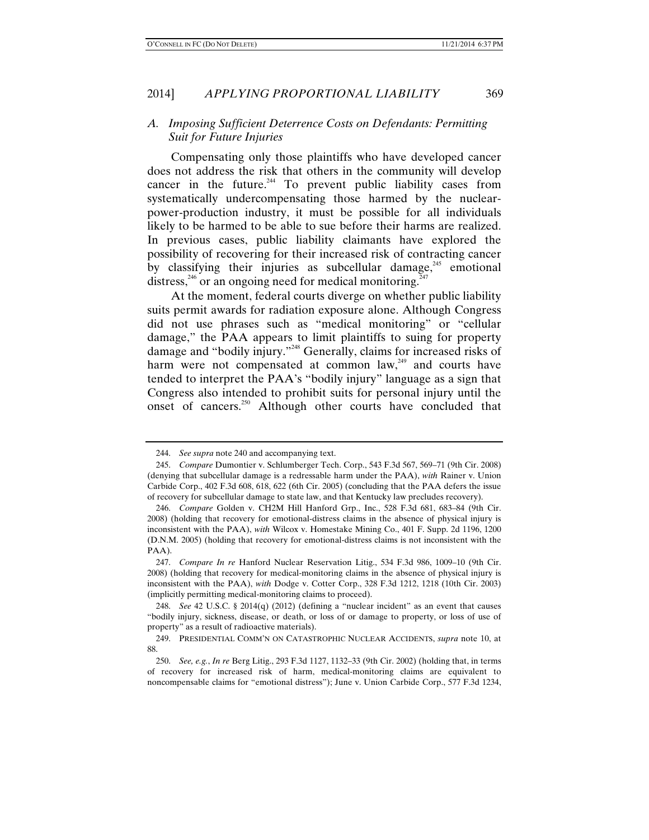## *A. Imposing Sufficient Deterrence Costs on Defendants: Permitting Suit for Future Injuries*

Compensating only those plaintiffs who have developed cancer does not address the risk that others in the community will develop cancer in the future. $244$  To prevent public liability cases from systematically undercompensating those harmed by the nuclearpower-production industry, it must be possible for all individuals likely to be harmed to be able to sue before their harms are realized. In previous cases, public liability claimants have explored the possibility of recovering for their increased risk of contracting cancer by classifying their injuries as subcellular damage, $245$  emotional distress,<sup>246</sup> or an ongoing need for medical monitoring.<sup>247</sup>

At the moment, federal courts diverge on whether public liability suits permit awards for radiation exposure alone. Although Congress did not use phrases such as "medical monitoring" or "cellular damage," the PAA appears to limit plaintiffs to suing for property damage and "bodily injury."<sup>248</sup> Generally, claims for increased risks of harm were not compensated at common law, $249$  and courts have tended to interpret the PAA's "bodily injury" language as a sign that Congress also intended to prohibit suits for personal injury until the onset of cancers.<sup>250</sup> Although other courts have concluded that

 <sup>244.</sup> *See supra* note 240 and accompanying text.

 <sup>245.</sup> *Compare* Dumontier v. Schlumberger Tech. Corp., 543 F.3d 567, 569–71 (9th Cir. 2008) (denying that subcellular damage is a redressable harm under the PAA), *with* Rainer v. Union Carbide Corp., 402 F.3d 608, 618, 622 (6th Cir. 2005) (concluding that the PAA defers the issue of recovery for subcellular damage to state law, and that Kentucky law precludes recovery).

 <sup>246.</sup> *Compare* Golden v. CH2M Hill Hanford Grp., Inc., 528 F.3d 681, 683–84 (9th Cir. 2008) (holding that recovery for emotional-distress claims in the absence of physical injury is inconsistent with the PAA), *with* Wilcox v. Homestake Mining Co., 401 F. Supp. 2d 1196, 1200 (D.N.M. 2005) (holding that recovery for emotional-distress claims is not inconsistent with the PAA).

 <sup>247.</sup> *Compare In re* Hanford Nuclear Reservation Litig., 534 F.3d 986, 1009–10 (9th Cir. 2008) (holding that recovery for medical-monitoring claims in the absence of physical injury is inconsistent with the PAA), *with* Dodge v. Cotter Corp., 328 F.3d 1212, 1218 (10th Cir. 2003) (implicitly permitting medical-monitoring claims to proceed).

 <sup>248.</sup> *See* 42 U.S.C. § 2014(q) (2012) (defining a "nuclear incident" as an event that causes "bodily injury, sickness, disease, or death, or loss of or damage to property, or loss of use of property" as a result of radioactive materials).

 <sup>249.</sup> PRESIDENTIAL COMM'N ON CATASTROPHIC NUCLEAR ACCIDENTS, *supra* note 10, at 88.

 <sup>250.</sup> *See, e.g.*, *In re* Berg Litig., 293 F.3d 1127, 1132–33 (9th Cir. 2002) (holding that, in terms of recovery for increased risk of harm, medical-monitoring claims are equivalent to noncompensable claims for "emotional distress"); June v. Union Carbide Corp., 577 F.3d 1234,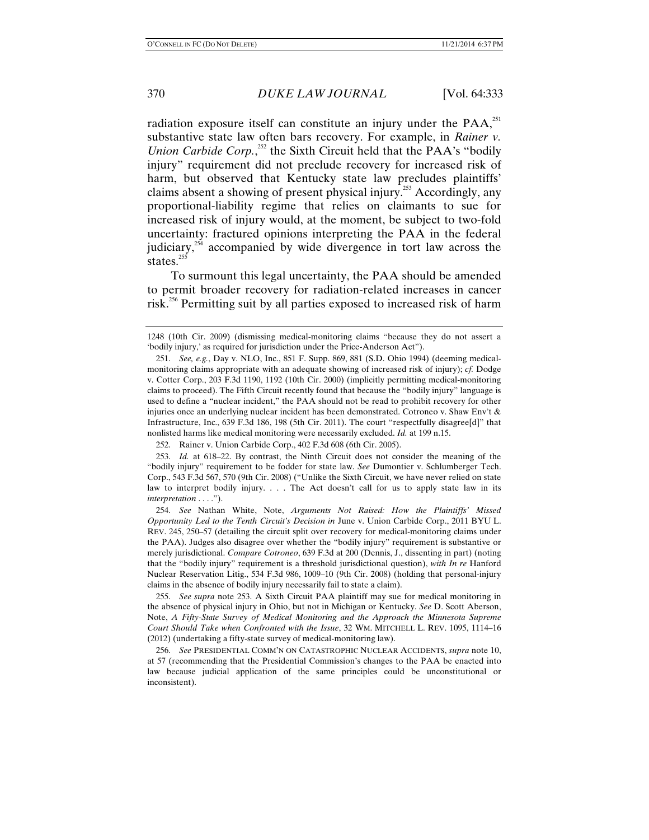radiation exposure itself can constitute an injury under the PAA.<sup>251</sup> substantive state law often bars recovery. For example, in *Rainer v. Union Carbide Corp.*<sup>252</sup> the Sixth Circuit held that the PAA's "bodily injury" requirement did not preclude recovery for increased risk of harm, but observed that Kentucky state law precludes plaintiffs' claims absent a showing of present physical injury.<sup>253</sup> Accordingly, any proportional-liability regime that relies on claimants to sue for increased risk of injury would, at the moment, be subject to two-fold uncertainty: fractured opinions interpreting the PAA in the federal judiciary, $254$  accompanied by wide divergence in tort law across the states. $255$ 

To surmount this legal uncertainty, the PAA should be amended to permit broader recovery for radiation-related increases in cancer risk.256 Permitting suit by all parties exposed to increased risk of harm

 255. *See supra* note 253. A Sixth Circuit PAA plaintiff may sue for medical monitoring in the absence of physical injury in Ohio, but not in Michigan or Kentucky. *See* D. Scott Aberson, Note, *A Fifty-State Survey of Medical Monitoring and the Approach the Minnesota Supreme Court Should Take when Confronted with the Issue*, 32 WM. MITCHELL L. REV. 1095, 1114–16 (2012) (undertaking a fifty-state survey of medical-monitoring law).

 256. *See* PRESIDENTIAL COMM'N ON CATASTROPHIC NUCLEAR ACCIDENTS, *supra* note 10, at 57 (recommending that the Presidential Commission's changes to the PAA be enacted into law because judicial application of the same principles could be unconstitutional or inconsistent).

<sup>1248 (10</sup>th Cir. 2009) (dismissing medical-monitoring claims "because they do not assert a 'bodily injury,' as required for jurisdiction under the Price-Anderson Act").

 <sup>251.</sup> *See, e.g.*, Day v. NLO, Inc., 851 F. Supp. 869, 881 (S.D. Ohio 1994) (deeming medicalmonitoring claims appropriate with an adequate showing of increased risk of injury); *cf.* Dodge v. Cotter Corp., 203 F.3d 1190, 1192 (10th Cir. 2000) (implicitly permitting medical-monitoring claims to proceed). The Fifth Circuit recently found that because the "bodily injury" language is used to define a "nuclear incident," the PAA should not be read to prohibit recovery for other injuries once an underlying nuclear incident has been demonstrated. Cotroneo v. Shaw Env't & Infrastructure, Inc., 639 F.3d 186, 198 (5th Cir. 2011). The court "respectfully disagree[d]" that nonlisted harms like medical monitoring were necessarily excluded. *Id.* at 199 n.15.

 <sup>252.</sup> Rainer v. Union Carbide Corp., 402 F.3d 608 (6th Cir. 2005).

 <sup>253.</sup> *Id.* at 618–22. By contrast, the Ninth Circuit does not consider the meaning of the "bodily injury" requirement to be fodder for state law. *See* Dumontier v. Schlumberger Tech. Corp., 543 F.3d 567, 570 (9th Cir. 2008) ("Unlike the Sixth Circuit, we have never relied on state law to interpret bodily injury. . . . The Act doesn't call for us to apply state law in its *interpretation* . . . .").

 <sup>254.</sup> *See* Nathan White, Note, *Arguments Not Raised: How the Plaintiffs' Missed Opportunity Led to the Tenth Circuit's Decision in* June v. Union Carbide Corp., 2011 BYU L. REV. 245, 250–57 (detailing the circuit split over recovery for medical-monitoring claims under the PAA). Judges also disagree over whether the "bodily injury" requirement is substantive or merely jurisdictional. *Compare Cotroneo*, 639 F.3d at 200 (Dennis, J., dissenting in part) (noting that the "bodily injury" requirement is a threshold jurisdictional question), *with In re* Hanford Nuclear Reservation Litig., 534 F.3d 986, 1009–10 (9th Cir. 2008) (holding that personal-injury claims in the absence of bodily injury necessarily fail to state a claim).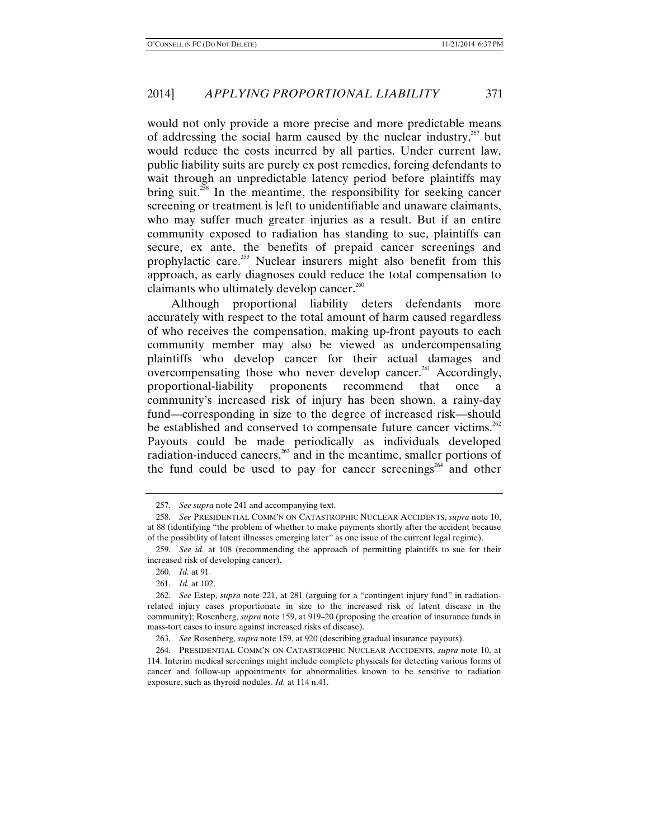would not only provide a more precise and more predictable means of addressing the social harm caused by the nuclear industry, $^{257}$  but would reduce the costs incurred by all parties. Under current law, public liability suits are purely ex post remedies, forcing defendants to wait through an unpredictable latency period before plaintiffs may bring suit.<sup>258</sup> In the meantime, the responsibility for seeking cancer screening or treatment is left to unidentifiable and unaware claimants, who may suffer much greater injuries as a result. But if an entire community exposed to radiation has standing to sue, plaintiffs can secure, ex ante, the benefits of prepaid cancer screenings and prophylactic care.259 Nuclear insurers might also benefit from this approach, as early diagnoses could reduce the total compensation to claimants who ultimately develop cancer.<sup>260</sup>

Although proportional liability deters defendants more accurately with respect to the total amount of harm caused regardless of who receives the compensation, making up-front payouts to each community member may also be viewed as undercompensating plaintiffs who develop cancer for their actual damages and overcompensating those who never develop cancer.<sup>261</sup> Accordingly, proportional-liability proponents recommend that once a community's increased risk of injury has been shown, a rainy-day fund—corresponding in size to the degree of increased risk—should be established and conserved to compensate future cancer victims.<sup>262</sup> Payouts could be made periodically as individuals developed radiation-induced cancers,<sup>263</sup> and in the meantime, smaller portions of the fund could be used to pay for cancer screenings<sup>264</sup> and other

 <sup>257.</sup> *See supra* note 241 and accompanying text.

 <sup>258.</sup> *See* PRESIDENTIAL COMM'N ON CATASTROPHIC NUCLEAR ACCIDENTS, *supra* note 10, at 88 (identifying "the problem of whether to make payments shortly after the accident because of the possibility of latent illnesses emerging later" as one issue of the current legal regime).

 <sup>259.</sup> *See id.* at 108 (recommending the approach of permitting plaintiffs to sue for their increased risk of developing cancer).

 <sup>260.</sup> *Id.* at 91.

 <sup>261.</sup> *Id.* at 102.

 <sup>262.</sup> *See* Estep, *supra* note 221, at 281 (arguing for a "contingent injury fund" in radiationrelated injury cases proportionate in size to the increased risk of latent disease in the community); Rosenberg, *supra* note 159, at 919–20 (proposing the creation of insurance funds in mass-tort cases to insure against increased risks of disease).

 <sup>263.</sup> *See* Rosenberg, *supra* note 159, at 920 (describing gradual insurance payouts).

 <sup>264.</sup> PRESIDENTIAL COMM'N ON CATASTROPHIC NUCLEAR ACCIDENTS, *supra* note 10, at 114. Interim medical screenings might include complete physicals for detecting various forms of cancer and follow-up appointments for abnormalities known to be sensitive to radiation exposure, such as thyroid nodules. *Id.* at 114 n.41.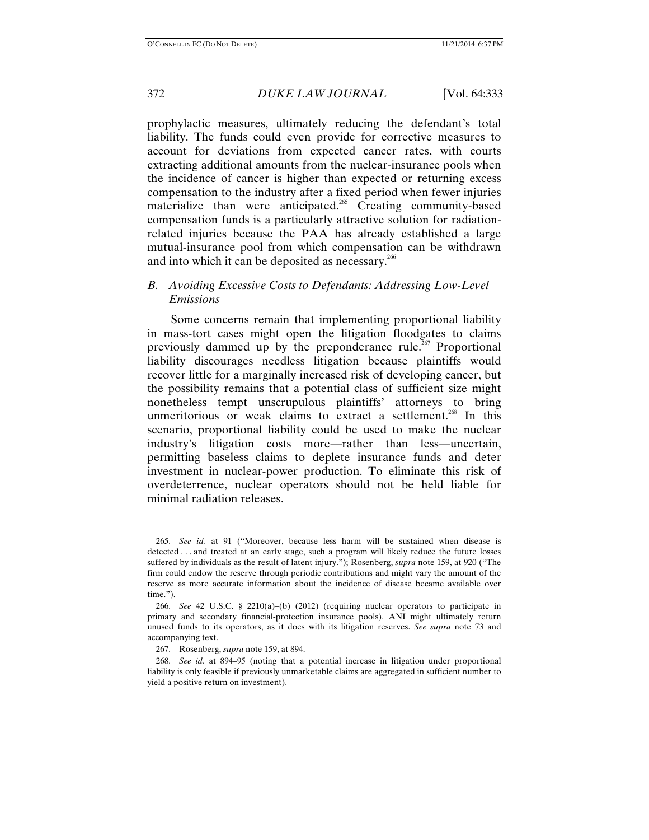prophylactic measures, ultimately reducing the defendant's total liability. The funds could even provide for corrective measures to account for deviations from expected cancer rates, with courts extracting additional amounts from the nuclear-insurance pools when the incidence of cancer is higher than expected or returning excess compensation to the industry after a fixed period when fewer injuries materialize than were anticipated.<sup>265</sup> Creating community-based compensation funds is a particularly attractive solution for radiationrelated injuries because the PAA has already established a large mutual-insurance pool from which compensation can be withdrawn and into which it can be deposited as necessary.<sup>266</sup>

# *B. Avoiding Excessive Costs to Defendants: Addressing Low-Level Emissions*

Some concerns remain that implementing proportional liability in mass-tort cases might open the litigation floodgates to claims previously dammed up by the preponderance rule.<sup>267</sup> Proportional liability discourages needless litigation because plaintiffs would recover little for a marginally increased risk of developing cancer, but the possibility remains that a potential class of sufficient size might nonetheless tempt unscrupulous plaintiffs' attorneys to bring unmeritorious or weak claims to extract a settlement.<sup>268</sup> In this scenario, proportional liability could be used to make the nuclear industry's litigation costs more—rather than less—uncertain, permitting baseless claims to deplete insurance funds and deter investment in nuclear-power production. To eliminate this risk of overdeterrence, nuclear operators should not be held liable for minimal radiation releases.

 <sup>265.</sup> *See id.* at 91 ("Moreover, because less harm will be sustained when disease is detected . . . and treated at an early stage, such a program will likely reduce the future losses suffered by individuals as the result of latent injury."); Rosenberg, *supra* note 159, at 920 ("The firm could endow the reserve through periodic contributions and might vary the amount of the reserve as more accurate information about the incidence of disease became available over time.").

 <sup>266.</sup> *See* 42 U.S.C. § 2210(a)–(b) (2012) (requiring nuclear operators to participate in primary and secondary financial-protection insurance pools). ANI might ultimately return unused funds to its operators, as it does with its litigation reserves. *See supra* note 73 and accompanying text.

 <sup>267.</sup> Rosenberg, *supra* note 159, at 894.

 <sup>268.</sup> *See id.* at 894–95 (noting that a potential increase in litigation under proportional liability is only feasible if previously unmarketable claims are aggregated in sufficient number to yield a positive return on investment).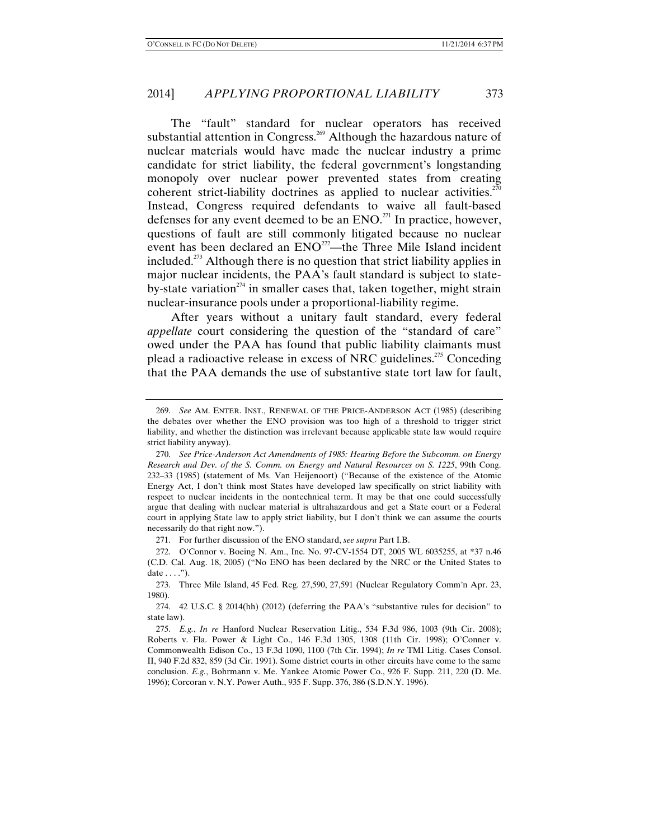The "fault" standard for nuclear operators has received substantial attention in Congress.<sup>269</sup> Although the hazardous nature of nuclear materials would have made the nuclear industry a prime candidate for strict liability, the federal government's longstanding monopoly over nuclear power prevented states from creating coherent strict-liability doctrines as applied to nuclear activities.<sup>270</sup> Instead, Congress required defendants to waive all fault-based defenses for any event deemed to be an  $ENO<sup>271</sup>$  In practice, however, questions of fault are still commonly litigated because no nuclear event has been declared an  $ENO<sup>272</sup>$ —the Three Mile Island incident included.<sup>273</sup> Although there is no question that strict liability applies in major nuclear incidents, the PAA's fault standard is subject to stateby-state variation<sup> $274$ </sup> in smaller cases that, taken together, might strain nuclear-insurance pools under a proportional-liability regime.

After years without a unitary fault standard, every federal *appellate* court considering the question of the "standard of care" owed under the PAA has found that public liability claimants must plead a radioactive release in excess of NRC guidelines.<sup>275</sup> Conceding that the PAA demands the use of substantive state tort law for fault,

271. For further discussion of the ENO standard, *see supra* Part I.B.

 <sup>269.</sup> *See* AM. ENTER. INST., RENEWAL OF THE PRICE-ANDERSON ACT (1985) (describing the debates over whether the ENO provision was too high of a threshold to trigger strict liability, and whether the distinction was irrelevant because applicable state law would require strict liability anyway).

 <sup>270.</sup> *See Price-Anderson Act Amendments of 1985: Hearing Before the Subcomm. on Energy Research and Dev. of the S. Comm. on Energy and Natural Resources on S. 1225*, 99th Cong. 232–33 (1985) (statement of Ms. Van Heijenoort) ("Because of the existence of the Atomic Energy Act, I don't think most States have developed law specifically on strict liability with respect to nuclear incidents in the nontechnical term. It may be that one could successfully argue that dealing with nuclear material is ultrahazardous and get a State court or a Federal court in applying State law to apply strict liability, but I don't think we can assume the courts necessarily do that right now.").

 <sup>272.</sup> O'Connor v. Boeing N. Am., Inc. No. 97-CV-1554 DT, 2005 WL 6035255, at \*37 n.46 (C.D. Cal. Aug. 18, 2005) ("No ENO has been declared by the NRC or the United States to date  $\dots$ .").

 <sup>273.</sup> Three Mile Island, 45 Fed. Reg. 27,590, 27,591 (Nuclear Regulatory Comm'n Apr. 23, 1980).

 <sup>274. 42</sup> U.S.C. § 2014(hh) (2012) (deferring the PAA's "substantive rules for decision" to state law).

 <sup>275.</sup> *E.g.*, *In re* Hanford Nuclear Reservation Litig., 534 F.3d 986, 1003 (9th Cir. 2008); Roberts v. Fla. Power & Light Co., 146 F.3d 1305, 1308 (11th Cir. 1998); O'Conner v. Commonwealth Edison Co., 13 F.3d 1090, 1100 (7th Cir. 1994); *In re* TMI Litig. Cases Consol. II, 940 F.2d 832, 859 (3d Cir. 1991). Some district courts in other circuits have come to the same conclusion. *E.g.*, Bohrmann v. Me. Yankee Atomic Power Co., 926 F. Supp. 211, 220 (D. Me. 1996); Corcoran v. N.Y. Power Auth., 935 F. Supp. 376, 386 (S.D.N.Y. 1996).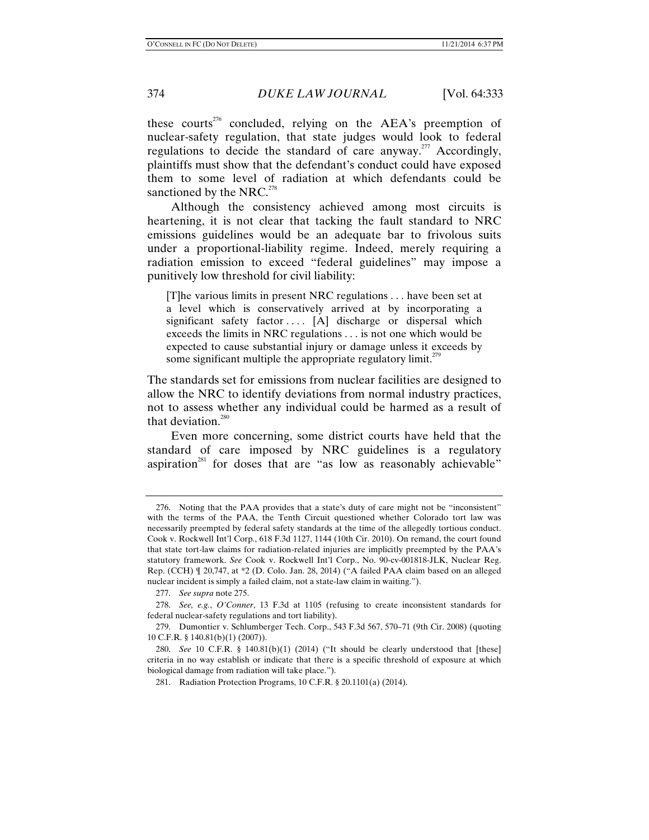these courts<sup>276</sup> concluded, relying on the AEA's preemption of nuclear-safety regulation, that state judges would look to federal regulations to decide the standard of care anyway.<sup>277</sup> Accordingly, plaintiffs must show that the defendant's conduct could have exposed them to some level of radiation at which defendants could be sanctioned by the NRC.<sup>278</sup>

Although the consistency achieved among most circuits is heartening, it is not clear that tacking the fault standard to NRC emissions guidelines would be an adequate bar to frivolous suits under a proportional-liability regime. Indeed, merely requiring a radiation emission to exceed "federal guidelines" may impose a punitively low threshold for civil liability:

[T]he various limits in present NRC regulations . . . have been set at a level which is conservatively arrived at by incorporating a significant safety factor  $\dots$  [A] discharge or dispersal which exceeds the limits in NRC regulations . . . is not one which would be expected to cause substantial injury or damage unless it exceeds by some significant multiple the appropriate regulatory limit.<sup> $279$ </sup>

The standards set for emissions from nuclear facilities are designed to allow the NRC to identify deviations from normal industry practices, not to assess whether any individual could be harmed as a result of that deviation. $280$ 

Even more concerning, some district courts have held that the standard of care imposed by NRC guidelines is a regulatory aspiration<sup>281</sup> for doses that are "as low as reasonably achievable"

 <sup>276.</sup> Noting that the PAA provides that a state's duty of care might not be "inconsistent" with the terms of the PAA, the Tenth Circuit questioned whether Colorado tort law was necessarily preempted by federal safety standards at the time of the allegedly tortious conduct. Cook v. Rockwell Int'l Corp*.*, 618 F.3d 1127, 1144 (10th Cir. 2010). On remand, the court found that state tort-law claims for radiation-related injuries are implicitly preempted by the PAA's statutory framework. *See* Cook v. Rockwell Int'l Corp., No. 90-cv-001818-JLK, Nuclear Reg. Rep. (CCH) ¶ 20,747, at \*2 (D. Colo. Jan. 28, 2014) ("A failed PAA claim based on an alleged nuclear incident is simply a failed claim, not a state-law claim in waiting.").

 <sup>277.</sup> *See supra* note 275.

 <sup>278.</sup> *See, e.g.*, *O'Conner*, 13 F.3d at 1105 (refusing to create inconsistent standards for federal nuclear-safety regulations and tort liability).

 <sup>279.</sup> Dumontier v. Schlumberger Tech. Corp., 543 F.3d 567, 570–71 (9th Cir. 2008) (quoting 10 C.F.R. § 140.81(b)(1) (2007)).

 <sup>280.</sup> *See* 10 C.F.R. § 140.81(b)(1) (2014) ("It should be clearly understood that [these] criteria in no way establish or indicate that there is a specific threshold of exposure at which biological damage from radiation will take place.").

 <sup>281.</sup> Radiation Protection Programs, 10 C.F.R. § 20.1101(a) (2014).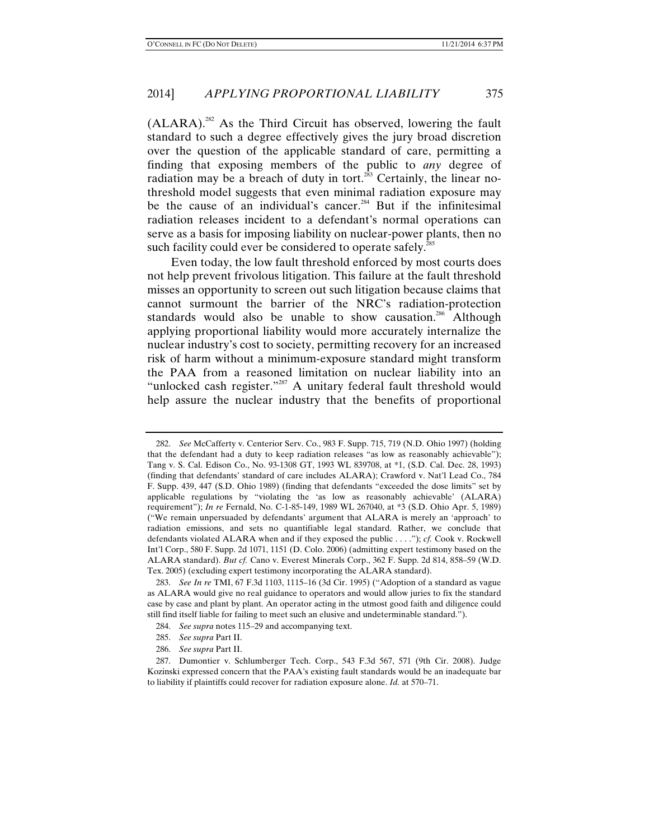$(ALARA)^{282}$  As the Third Circuit has observed, lowering the fault standard to such a degree effectively gives the jury broad discretion over the question of the applicable standard of care, permitting a finding that exposing members of the public to *any* degree of radiation may be a breach of duty in tort.<sup>283</sup> Certainly, the linear nothreshold model suggests that even minimal radiation exposure may be the cause of an individual's cancer.<sup>284</sup> But if the infinitesimal radiation releases incident to a defendant's normal operations can serve as a basis for imposing liability on nuclear-power plants, then no such facility could ever be considered to operate safely.<sup>285</sup>

Even today, the low fault threshold enforced by most courts does not help prevent frivolous litigation. This failure at the fault threshold misses an opportunity to screen out such litigation because claims that cannot surmount the barrier of the NRC's radiation-protection standards would also be unable to show causation.<sup>286</sup> Although applying proportional liability would more accurately internalize the nuclear industry's cost to society, permitting recovery for an increased risk of harm without a minimum-exposure standard might transform the PAA from a reasoned limitation on nuclear liability into an "unlocked cash register."<sup>287</sup> A unitary federal fault threshold would help assure the nuclear industry that the benefits of proportional

 <sup>282.</sup> *See* McCafferty v. Centerior Serv. Co., 983 F. Supp. 715, 719 (N.D. Ohio 1997) (holding that the defendant had a duty to keep radiation releases "as low as reasonably achievable"); Tang v. S. Cal. Edison Co., No. 93-1308 GT, 1993 WL 839708, at \*1, (S.D. Cal. Dec. 28, 1993) (finding that defendants' standard of care includes ALARA); Crawford v. Nat'l Lead Co., 784 F. Supp. 439, 447 (S.D. Ohio 1989) (finding that defendants "exceeded the dose limits" set by applicable regulations by "violating the 'as low as reasonably achievable' (ALARA) requirement"); *In re* Fernald, No. C-1-85-149, 1989 WL 267040, at \*3 (S.D. Ohio Apr. 5, 1989) ("We remain unpersuaded by defendants' argument that ALARA is merely an 'approach' to radiation emissions, and sets no quantifiable legal standard. Rather, we conclude that defendants violated ALARA when and if they exposed the public . . . ."); *cf.* Cook v. Rockwell Int'l Corp., 580 F. Supp. 2d 1071, 1151 (D. Colo. 2006) (admitting expert testimony based on the ALARA standard). *But cf.* Cano v. Everest Minerals Corp., 362 F. Supp. 2d 814, 858–59 (W.D. Tex. 2005) (excluding expert testimony incorporating the ALARA standard).

 <sup>283.</sup> *See In re* TMI, 67 F.3d 1103, 1115–16 (3d Cir. 1995) ("Adoption of a standard as vague as ALARA would give no real guidance to operators and would allow juries to fix the standard case by case and plant by plant. An operator acting in the utmost good faith and diligence could still find itself liable for failing to meet such an elusive and undeterminable standard.").

 <sup>284.</sup> *See supra* notes 115–29 and accompanying text.

 <sup>285.</sup> *See supra* Part II.

 <sup>286.</sup> *See supra* Part II.

 <sup>287.</sup> Dumontier v. Schlumberger Tech. Corp., 543 F.3d 567, 571 (9th Cir. 2008). Judge Kozinski expressed concern that the PAA's existing fault standards would be an inadequate bar to liability if plaintiffs could recover for radiation exposure alone. *Id.* at 570–71.